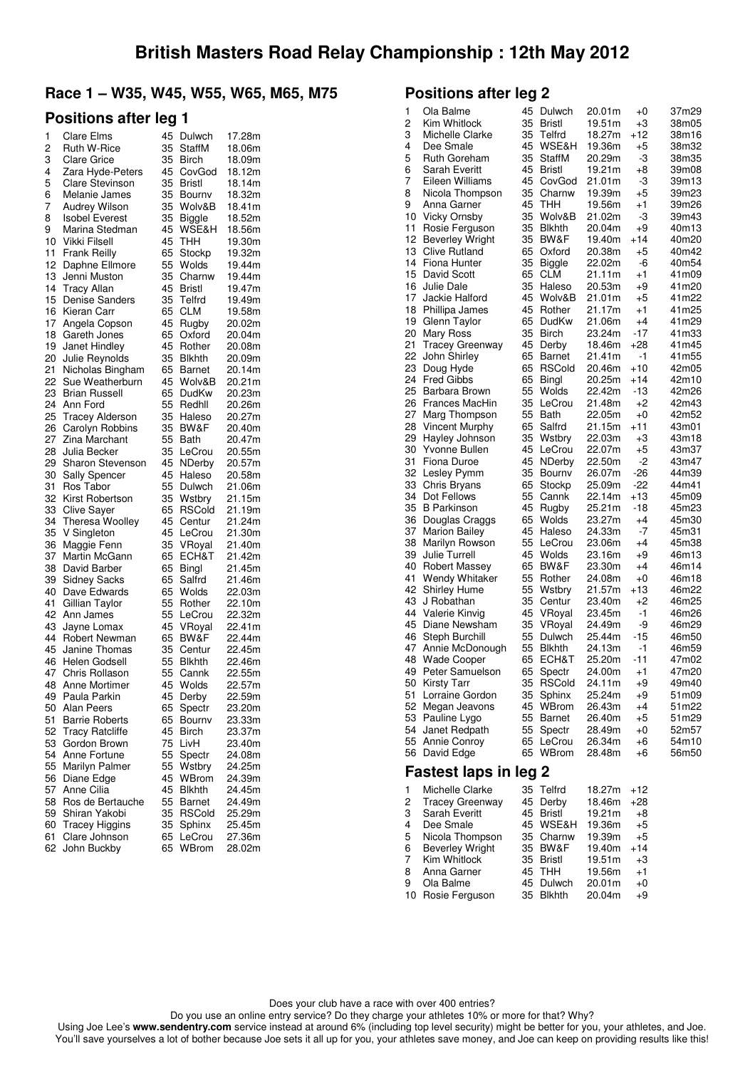### **Race 1 – W35, W45, W55, W65, M65, M75**

### **Positions after leg 1**

| 1  | <b>Clare Elms</b>       | 45 | Dulwch        | 17.28m |
|----|-------------------------|----|---------------|--------|
| 2  | Ruth W-Rice             | 35 | StaffM        | 18.06m |
| 3  | Clare Grice             | 35 | Birch         | 18.09m |
| 4  | Zara Hyde-Peters        | 45 | CovGod        | 18.12m |
| 5  | <b>Clare Stevinson</b>  | 35 | Bristl        | 18.14m |
| 6  | Melanie James           | 35 | Bournv        | 18.32m |
| 7  | Audrey Wilson           | 35 | Wolv&B        | 18.41m |
| 8  | <b>Isobel Everest</b>   | 35 | <b>Biggle</b> | 18.52m |
| 9  | Marina Stedman          | 45 | WSE&H         | 18.56m |
| 10 | Vikki Filsell           | 45 | THH           | 19.30m |
| 11 | <b>Frank Reilly</b>     | 65 | Stockp        | 19.32m |
| 12 | Daphne Ellmore          | 55 | Wolds         | 19.44m |
| 13 | Jenni Muston            | 35 | Charnw        | 19.44m |
| 14 | <b>Tracy Allan</b>      | 45 | Bristl        | 19.47m |
| 15 | <b>Denise Sanders</b>   | 35 | Telfrd        | 19.49m |
| 16 | Kieran Carr             | 65 | <b>CLM</b>    | 19.58m |
| 17 | Angela Copson           | 45 | Rugby         | 20.02m |
| 18 | Gareth Jones            | 65 | Oxford        | 20.04m |
| 19 | Janet Hindley           | 45 | Rother        | 20.08m |
| 20 | Julie Reynolds          | 35 | <b>Blkhth</b> | 20.09m |
| 21 | Nicholas Bingham        | 65 | Barnet        | 20.14m |
| 22 | Sue Weatherburn         | 45 | Wolv&B        | 20.21m |
| 23 | <b>Brian Russell</b>    | 65 | DudKw         | 20.23m |
| 24 | Ann Ford                | 55 | Redhll        | 20.26m |
| 25 | <b>Tracey Alderson</b>  | 35 | Haleso        | 20.27m |
| 26 | Carolyn Robbins         | 35 | BW&F          | 20.40m |
| 27 | Zina Marchant           | 55 | Bath          | 20.47m |
| 28 | Julia Becker            | 35 | LeCrou        | 20.55m |
| 29 | <b>Sharon Stevenson</b> | 45 | NDerby        | 20.57m |
| 30 | Sally Spencer           | 45 | Haleso        | 20.58m |
| 31 | Ros Tabor               | 55 | Dulwch        | 21.06m |
| 32 | Kirst Robertson         | 35 | Wstbry        | 21.15m |
| 33 | <b>Clive Sayer</b>      | 65 | <b>RSCold</b> | 21.19m |
| 34 | <b>Theresa Woolley</b>  | 45 | Centur        | 21.24m |
| 35 | V Singleton             | 45 | LeCrou        | 21.30m |
| 36 | Maggie Fenn             | 35 | VRoyal        | 21.40m |
| 37 | Martin McGann           | 65 | ECH&T         | 21.42m |
| 38 | David Barber            | 65 | Bingl         | 21.45m |
| 39 | <b>Sidney Sacks</b>     | 65 | Salfrd        | 21.46m |
| 40 | Dave Edwards            | 65 | Wolds         | 22.03m |
| 41 | Gillian Taylor          | 55 | Rother        | 22.10m |
| 42 | Ann James               | 55 | LeCrou        | 22.32m |
| 43 | Jayne Lomax             | 45 | VRoyal        | 22.41m |
| 44 | Robert Newman           | 65 | BW&F          | 22.44m |
| 45 | Janine Thomas           | 35 | Centur        | 22.45m |
| 46 | Helen Godsell           | 55 | Blkhth        | 22.46m |
| 47 | Chris Rollason          | 55 | Cannk         | 22.55m |
| 48 | <b>Anne Mortimer</b>    | 45 | Wolds         | 22.57m |
| 49 | Paula Parkin            | 45 | Derby         | 22.59m |
| 50 | Alan Peers              | 65 | Spectr        | 23.20m |
| 51 | <b>Barrie Roberts</b>   | 65 | Bournv        | 23.33m |
| 52 | <b>Tracy Ratcliffe</b>  | 45 | Birch         | 23.37m |
| 53 | Gordon Brown            | 75 | LivH          | 23.40m |
| 54 | Anne Fortune            | 55 | Spectr        | 24.08m |
| 55 | Marilyn Palmer          | 55 | Wstbry        | 24.25m |
| 56 | Diane Edge              | 45 | WBrom         | 24.39m |
| 57 | Anne Cilia              | 45 | Blkhth        | 24.45m |
| 58 | Ros de Bertauche        | 55 | Barnet        | 24.49m |
| 59 | Shiran Yakobi           | 35 | RSCold        | 25.29m |
| 60 | <b>Tracey Higgins</b>   | 35 | Sphinx        | 25.45m |
| 61 | Clare Johnson           | 65 | LeCrou        | 27.36m |
| 62 | John Buckby             | 65 | WBrom         | 28.02m |
|    |                         |    |               |        |

## **Positions after leg 2**

| 1<br>2 | Ola Balme<br>Kim Whitlock    | 45<br>35 | Dulwch<br><b>Bristl</b> | 20.01m<br>19.51m | +0<br>+3 | 37m29<br>38m05 |
|--------|------------------------------|----------|-------------------------|------------------|----------|----------------|
| 3      | Michelle Clarke              | 35       | Telfrd                  | 18.27m           | +12      | 38m16          |
| 4      | Dee Smale                    | 45       | WSE&H                   | 19.36m           | +5       | 38m32          |
| 5      | Ruth Goreham                 | 35       | StaffM                  | 20.29m           | -3       | 38m35          |
| 6      | <b>Sarah Everitt</b>         | 45       | Bristl                  | 19.21m           | +8       | 39m08          |
| 7      | Eileen Williams              | 45       | CovGod                  | 21.01m           | -3       | 39m13          |
| 8      | Nicola Thompson              | 35       | Charnw                  | 19.39m           | $+5$     | 39m23          |
| 9      | Anna Garner                  | 45       | тнн                     | 19.56m           | $+1$     | 39m26          |
| 10     | <b>Vicky Ornsby</b>          | 35       | Wolv&B                  | 21.02m           | -3       | 39m43          |
| 11     | Rosie Ferguson               | 35       | Blkhth                  | 20.04m           | +9       | 40m13          |
| 12     | <b>Beverley Wright</b>       | 35       | BW&F                    | 19.40m           | $+14$    | 40m20          |
| 13     | Clive Rutland                | 65       | Oxford                  | 20.38m           | +5       | 40m42          |
| 14     | Fiona Hunter                 | 35       | <b>Biggle</b>           | 22.02m           | -6       | 40m54          |
| 15     | David Scott                  | 65       | CLM                     | 21.11m           | +1       | 41m09          |
| 16     | Julie Dale                   | 35       | Haleso                  | 20.53m           | +9       | 41m20          |
| 17     | Jackie Halford               | 45       | Wolv&B                  | 21.01m           | +5       | 41m22          |
| 18     | Phillipa James               | 45       | Rother                  | 21.17m           | +1       | 41m25          |
| 19     | Glenn Taylor                 | 65       | DudKw                   | 21.06m           | $+4$     | 41m29          |
| 20     | Mary Ross                    | 35       | Birch                   | 23.24m           | -17      | 41m33          |
| 21     | <b>Tracey Greenway</b>       | 45       | Derby                   | 18.46m           | $+28$    | 41m45          |
| 22     | John Shirley                 | 65       | Barnet                  | 21.41m           | $-1$     | 41m55          |
| 23     | Doug Hyde                    | 65       | <b>RSCold</b>           | 20.46m           | $+10$    | 42m05          |
| 24     | <b>Fred Gibbs</b>            | 65       | Bingl                   | 20.25m           | $+14$    | 42m10          |
| 25     | Barbara Brown                | 55       | Wolds                   | 22.42m           | -13      | 42m26          |
| 26     | Frances MacHin               | 35       | LeCrou                  | 21.48m           | +2       | 42m43          |
| 27     | Marg Thompson                | 55       | Bath                    | 22.05m           | +0       | 42m52          |
| 28     | Vincent Murphy               | 65       | Salfrd                  | 21.15m           | $+11$    | 43m01          |
| 29     | Hayley Johnson               | 35       | Wstbry                  | 22.03m           | +3       | 43m18          |
| 30     | Yvonne Bullen                | 45       | LeCrou                  | 22.07m           | $+5$     | 43m37          |
| 31     | Fiona Duroe                  | 45       | NDerby                  | 22.50m           | -2       | 43m47          |
| 32     | Lesley Pymm                  | 35       | Bournv                  | 26.07m           | -26      | 44m39          |
| 33     | Chris Bryans                 | 65       | Stockp                  | 25.09m           | -22      | 44m41          |
| 34     | Dot Fellows                  | 55       | Cannk                   | 22.14m           | +13      | 45m09          |
| 35     | <b>B</b> Parkinson           | 45       | Rugby                   | 25.21m           | -18      | 45m23          |
| 36     | Douglas Craggs               | 65       | Wolds                   | 23.27m           | $+4$     | 45m30          |
| 37     | <b>Marion Bailey</b>         | 45       | Haleso                  | 24.33m           | -7       | 45m31          |
| 38     | Marilyn Rowson               | 55       | LeCrou                  | 23.06m           | $+4$     | 45m38          |
| 39     | Julie Turrell                | 45       | Wolds                   | 23.16m           | +9       | 46m13          |
| 40     | <b>Robert Massey</b>         | 65       | BW&F                    | 23.30m           | +4       | 46m14          |
| 41     | Wendy Whitaker               | 55       | Rother                  | 24.08m           | +0       | 46m18          |
| 42     | Shirley Hume                 | 55       | Wstbry                  | 21.57m           | $+13$    | 46m22          |
| 43     | J Robathan                   | 35       | Centur                  | 23.40m           | +2       | 46m25          |
| 44     | Valerie Kinvig               | 45       | VRoyal                  | 23.45m           | $-1$     | 46m26          |
| 45     | Diane Newsham                | 35       | VRoyal                  | 24.49m           | -9       | 46m29          |
| 46     | Steph Burchill               | 55       | Dulwch                  | 25.44m           | -15      | 46m50          |
| 47     | Annie McDonough              | 55       | <b>Blkhth</b>           | 24.13m           | -1       | 46m59          |
| 48     | <b>Wade Cooper</b>           | 65       | ECH&T                   | 25.20m           | -11      | 47m02          |
|        | 49 Peter Samuelson           |          | 65 Spectr               | 24.00m           | $+1$     | 47m20          |
| 50     | <b>Kirsty Tarr</b>           | 35       | <b>RSCold</b>           | 24.11m           | +9       | 49m40          |
| 51     | Lorraine Gordon              | 35       | Sphinx                  | 25.24m           | +9       | 51m09          |
| 52     | Megan Jeavons                | 45       | WBrom                   | 26.43m           | +4       | 51m22          |
|        | 53 Pauline Lygo              | 55       | Barnet                  | 26.40m           | +5       | 51m29          |
| 54     | Janet Redpath                | 55       | Spectr                  | 28.49m           | +0       | 52m57          |
| 55     | Annie Conroy                 | 65       | LeCrou                  | 26.34m           | +6       | 54m10          |
| 56     | David Edge                   | 65       | WBrom                   | 28.48m           | +6       | 56m50          |
|        | <b>Fastest laps in leg 2</b> |          |                         |                  |          |                |

| $\mathbf{1}$ | Michelle Clarke        | 35 Telfrd | 18.27m | $+12$ |
|--------------|------------------------|-----------|--------|-------|
| 2            | <b>Tracey Greenway</b> | 45 Derby  | 18.46m | $+28$ |
| 3            | Sarah Everitt          | 45 Bristl | 19.21m | $+8$  |
| 4            | Dee Smale              | 45 WSE&H  | 19.36m | $+5$  |
| 5            | Nicola Thompson        | 35 Charnw | 19.39m | $+5$  |
| 6            | <b>Beverley Wright</b> | 35 BW&F   | 19.40m | $+14$ |
| 7            | Kim Whitlock           | 35 Bristl | 19.51m | $+3$  |
| 8            | Anna Garner            | 45 THH    | 19.56m | $+1$  |
| 9            | Ola Balme              | 45 Dulwch | 20.01m | $+0$  |
|              | 10 Rosie Ferguson      | 35 Blkhth | 20.04m | $+9$  |
|              |                        |           |        |       |

Does your club have a race with over 400 entries?

Do you use an online entry service? Do they charge your athletes 10% or more for that? Why?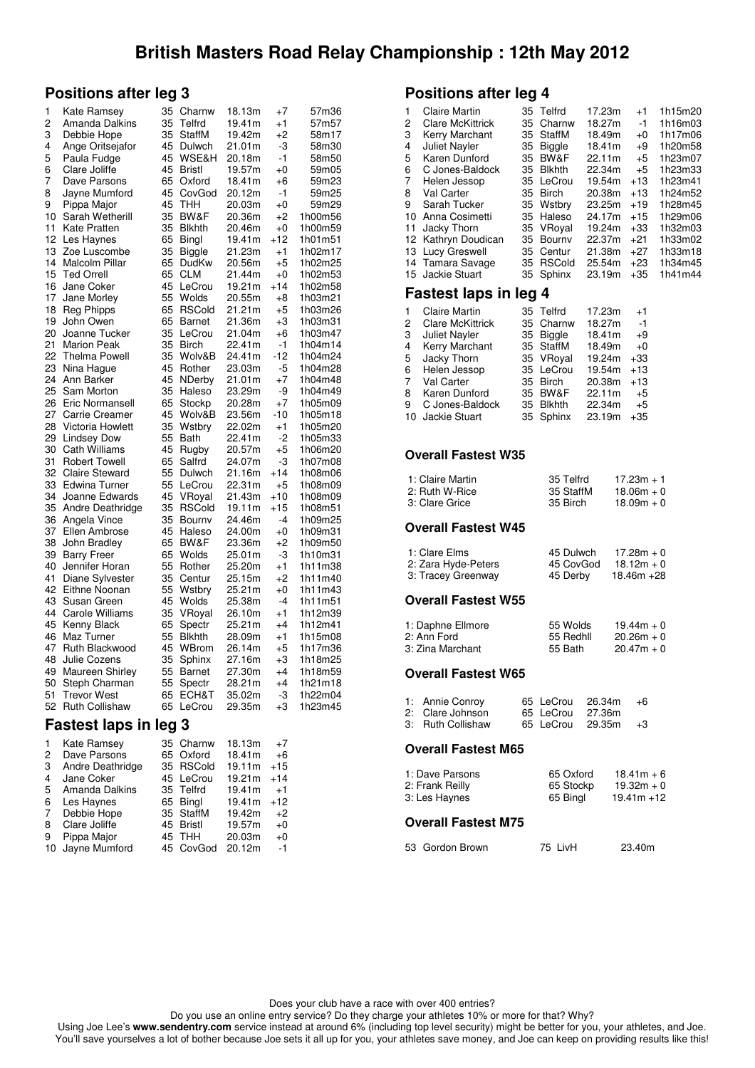### **Positions after leg 3**

| 1  | Kate Ramsey            | 35 | Charnw           | 18.13m | $+7$  | 57m36   |
|----|------------------------|----|------------------|--------|-------|---------|
| 2  | Amanda Dalkins         | 35 | Telfrd           | 19.41m | $+1$  | 57m57   |
| 3  | Debbie Hope            | 35 | StaffM           | 19.42m | +2    | 58m17   |
| 4  | Ange Oritsejafor       | 45 | Dulwch           | 21.01m | -3    | 58m30   |
| 5  | Paula Fudge            | 45 | <b>WSE&amp;H</b> | 20.18m | $-1$  | 58m50   |
| 6  | Clare Joliffe          | 45 | <b>Bristl</b>    | 19.57m | $+0$  | 59m05   |
| 7  | Dave Parsons           | 65 | Oxford           | 18.41m | +6    | 59m23   |
| 8  | Jayne Mumford          | 45 | CovGod           | 20.12m | -1    | 59m25   |
| 9  | Pippa Major            | 45 | тнн              | 20.03m | $+0$  | 59m29   |
| 10 | Sarah Wetherill        | 35 | BW&F             | 20.36m | $+2$  | 1h00m56 |
| 11 | Kate Pratten           | 35 | <b>Blkhth</b>    | 20.46m | $+0$  | 1h00m59 |
| 12 | Les Haynes             | 65 | Bingl            | 19.41m | $+12$ | 1h01m51 |
| 13 | Zoe Luscombe           | 35 | <b>Biggle</b>    | 21.23m | $+1$  | 1h02m17 |
| 14 | Malcolm Pillar         | 65 | DudKw            | 20.56m | +5    | 1h02m25 |
| 15 | <b>Ted Orrell</b>      | 65 | CLM              | 21.44m | +0    | 1h02m53 |
| 16 | Jane Coker             | 45 | LeCrou           | 19.21m | $+14$ | 1h02m58 |
| 17 | Jane Morley            | 55 | Wolds            | 20.55m |       | 1h03m21 |
|    |                        |    |                  |        | +8    |         |
| 18 | Reg Phipps             | 65 | <b>RSCold</b>    | 21.21m | +5    | 1h03m26 |
| 19 | John Owen              | 65 | Barnet           | 21.36m | $+3$  | 1h03m31 |
| 20 | Joanne Tucker          | 35 | LeCrou           | 21.04m | $+6$  | 1h03m47 |
| 21 | <b>Marion Peak</b>     | 35 | <b>Birch</b>     | 22.41m | $-1$  | 1h04m14 |
| 22 | <b>Thelma Powell</b>   | 35 | Wolv&B           | 24.41m | $-12$ | 1h04m24 |
| 23 | Nina Haque             | 45 | Rother           | 23.03m | -5    | 1h04m28 |
| 24 | Ann Barker             | 45 | NDerby           | 21.01m | $+7$  | 1h04m48 |
| 25 | Sam Morton             | 35 | Haleso           | 23.29m | -9    | 1h04m49 |
| 26 | Eric Normansell        | 65 | Stockp           | 20.28m | $+7$  | 1h05m09 |
| 27 | Carrie Creamer         | 45 | Wolv&B           | 23.56m | $-10$ | 1h05m18 |
| 28 | Victoria Howlett       | 35 | Wstbry           | 22.02m | $+1$  | 1h05m20 |
| 29 | <b>Lindsey Dow</b>     | 55 | Bath             | 22.41m | -2    | 1h05m33 |
| 30 | <b>Cath Williams</b>   | 45 | Rugby            | 20.57m | $+5$  | 1h06m20 |
| 31 | <b>Robert Towell</b>   | 65 | Salfrd           | 24.07m | -3    | 1h07m08 |
| 32 | <b>Claire Steward</b>  | 55 | Dulwch           | 21.16m | $+14$ | 1h08m06 |
| 33 | Edwina Turner          | 55 | LeCrou           | 22.31m | $+5$  | 1h08m09 |
| 34 | Joanne Edwards         | 45 | VRoyal           | 21.43m | $+10$ | 1h08m09 |
| 35 | Andre Deathridge       | 35 | <b>RSCold</b>    | 19.11m | $+15$ | 1h08m51 |
| 36 | Angela Vince           | 35 | Bourny           | 24.46m | -4    | 1h09m25 |
| 37 | <b>Ellen Ambrose</b>   | 45 | Haleso           | 24.00m | $+0$  | 1h09m31 |
| 38 | John Bradley           | 65 | BW&F             | 23.36m | $+2$  | 1h09m50 |
| 39 | <b>Barry Freer</b>     | 65 | Wolds            | 25.01m | -3    | 1h10m31 |
| 40 | Jennifer Horan         | 55 | Rother           | 25.20m | $+1$  | 1h11m38 |
| 41 | Diane Sylvester        | 35 | Centur           | 25.15m | +2    | 1h11m40 |
| 42 | Eithne Noonan          | 55 | Wstbry           | 25.21m | $+0$  | 1h11m43 |
| 43 | Susan Green            | 45 | Wolds            | 25.38m | -4    | 1h11m51 |
| 44 | <b>Carole Williams</b> | 35 | VRoyal           | 26.10m | $+1$  | 1h12m39 |
| 45 | Kenny Black            | 65 | Spectr           | 25.21m | $+4$  | 1h12m41 |
| 46 | Maz Turner             | 55 | <b>Blkhth</b>    | 28.09m | +1    | 1h15m08 |
| 47 | Ruth Blackwood         | 45 | WBrom            | 26.14m | $+5$  | 1h17m36 |
| 48 | Julie Cozens           | 35 | Sphinx           | 27.16m | +3    | 1h18m25 |
| 49 | <b>Maureen Shirley</b> | 55 | Barnet           | 27.30m | $+4$  | 1h18m59 |
| 50 | Steph Charman          | 55 | Spectr           | 28.21m | $+4$  | 1h21m18 |
| 51 | <b>Trevor West</b>     | 65 | ECH&T            | 35.02m | -3    | 1h22m04 |
| 52 | <b>Ruth Collishaw</b>  | 65 | LeCrou           | 29.35m | +3    | 1h23m45 |

### **Fastest laps in leg 3**

| 1 | Kate Ramsey      | 35 Charnw | 18.13m | $+7$  |
|---|------------------|-----------|--------|-------|
| 2 | Dave Parsons     | 65 Oxford | 18.41m | $+6$  |
| 3 | Andre Deathridge | 35 RSCold | 19.11m | $+15$ |
| 4 | Jane Coker       | 45 LeCrou | 19.21m | $+14$ |
| 5 | Amanda Dalkins   | 35 Telfrd | 19.41m | $+1$  |
| 6 | Les Haynes       | 65 Bingl  | 19.41m | $+12$ |
| 7 | Debbie Hope      | 35 StaffM | 19.42m | $+2$  |
| 8 | Clare Joliffe    | 45 Bristl | 19.57m | $+0$  |
| 9 | Pippa Major      | 45 THH    | 20.03m | $+0$  |
|   | 10 Jayne Mumford | 45 CovGod | 20.12m | $-1$  |
|   |                  |           |        |       |

#### **Positions after leg 4**

| 1                     | Claire Martin           |    | 35 Telfrd     | 17.23m | $+1$  | 1h15m20 |  |
|-----------------------|-------------------------|----|---------------|--------|-------|---------|--|
| 2                     | <b>Clare McKittrick</b> | 35 | Charnw        | 18.27m | -1    | 1h16m03 |  |
| 3                     | Kerry Marchant          | 35 | StaffM        | 18.49m | $+0$  | 1h17m06 |  |
| 4                     | <b>Juliet Nayler</b>    | 35 | <b>Biggle</b> | 18.41m | $+9$  | 1h20m58 |  |
| 5                     | Karen Dunford           | 35 | BW&F          | 22.11m | $+5$  | 1h23m07 |  |
| 6                     | C Jones-Baldock         | 35 | <b>Blkhth</b> | 22.34m | $+5$  | 1h23m33 |  |
| 7                     | Helen Jessop            | 35 | LeCrou        | 19.54m | $+13$ | 1h23m41 |  |
| 8                     | Val Carter              | 35 | <b>Birch</b>  | 20.38m | $+13$ | 1h24m52 |  |
| 9                     | Sarah Tucker            | 35 | Wstbry        | 23.25m | $+19$ | 1h28m45 |  |
| 10                    | Anna Cosimetti          | 35 | Haleso        | 24.17m | $+15$ | 1h29m06 |  |
| 11                    | Jacky Thorn             | 35 | VRoyal        | 19.24m | $+33$ | 1h32m03 |  |
|                       | 12 Kathryn Doudican     | 35 | Bourny        | 22.37m | $+21$ | 1h33m02 |  |
| 13                    | Lucy Greswell           | 35 | Centur        | 21.38m | $+27$ | 1h33m18 |  |
|                       | 14 Tamara Savage        | 35 | <b>RSCold</b> | 25.54m | $+23$ | 1h34m45 |  |
|                       | 15 Jackie Stuart        |    | 35 Sphinx     | 23.19m | $+35$ | 1h41m44 |  |
| Fastest laps in leg 4 |                         |    |               |        |       |         |  |
|                       |                         |    |               |        |       |         |  |

| <b>Claire Martin</b>    |  | 17.23m                                                                                                                      | $+1$  |
|-------------------------|--|-----------------------------------------------------------------------------------------------------------------------------|-------|
| <b>Clare McKittrick</b> |  | 18.27m                                                                                                                      | $-1$  |
| <b>Juliet Nayler</b>    |  | 18.41m                                                                                                                      | $+9$  |
| Kerry Marchant          |  | 18.49m                                                                                                                      | $+0$  |
| Jacky Thorn             |  | 19.24m                                                                                                                      | $+33$ |
| Helen Jessop            |  | 19.54m                                                                                                                      | $+13$ |
| Val Carter              |  | 20.38m                                                                                                                      | $+13$ |
| Karen Dunford           |  | 22.11m                                                                                                                      | $+5$  |
| C Jones-Baldock         |  | 22.34m                                                                                                                      | $+5$  |
| 10 Jackie Stuart        |  | 23.19m                                                                                                                      | $+35$ |
|                         |  | 35 Telfrd<br>35 Charnw<br>35 Biggle<br>35 StaffM<br>35 VRoyal<br>35 LeCrou<br>35 Birch<br>35 BW&F<br>35 Blkhth<br>35 Sphinx |       |

#### **Overall Fastest W35**

| 1: Claire Martin | 35 Telfrd | $17.23m + 1$ |
|------------------|-----------|--------------|
| 2: Ruth W-Rice   | 35 StaffM | $18.06m + 0$ |
| 3: Clare Grice   | 35 Birch  | $18.09m + 0$ |

#### **Overall Fastest W45**

| 1: Clare Elms       | 45 Dulwch | $17.28m + 0$  |
|---------------------|-----------|---------------|
| 2: Zara Hyde-Peters | 45 CovGod | $18.12m + 0$  |
| 3: Tracey Greenway  | 45 Derby  | $18.46m + 28$ |

#### **Overall Fastest W55**

| 1: Daphne Ellmore | 55 Wolds  | $19.44m + 0$ |
|-------------------|-----------|--------------|
| 2: Ann Ford       | 55 Redhll | $20.26m + 0$ |
| 3: Zina Marchant  | 55 Bath   | $20.47m + 0$ |

#### **Overall Fastest W65**

| 1: Annie Conroy   |  | 65 LeCrou 26.34m | $+6$ |
|-------------------|--|------------------|------|
| 2: Clare Johnson  |  | 65 LeCrou 27.36m |      |
| 3: Ruth Collishaw |  | 65 LeCrou 29.35m | $+3$ |

#### **Overall Fastest M65**

| 1: Dave Parsons | 65 Oxford | $18.41m + 6$  |
|-----------------|-----------|---------------|
| 2: Frank Reilly | 65 Stockp | $19.32m + 0$  |
| 3: Les Haynes   | 65 Binal  | $19.41m + 12$ |
|                 |           |               |

#### **Overall Fastest M75**

| 53 Gordon Brown | 75 LivH | 23.40m |
|-----------------|---------|--------|
|                 |         |        |

Does your club have a race with over 400 entries?

Do you use an online entry service? Do they charge your athletes 10% or more for that? Why?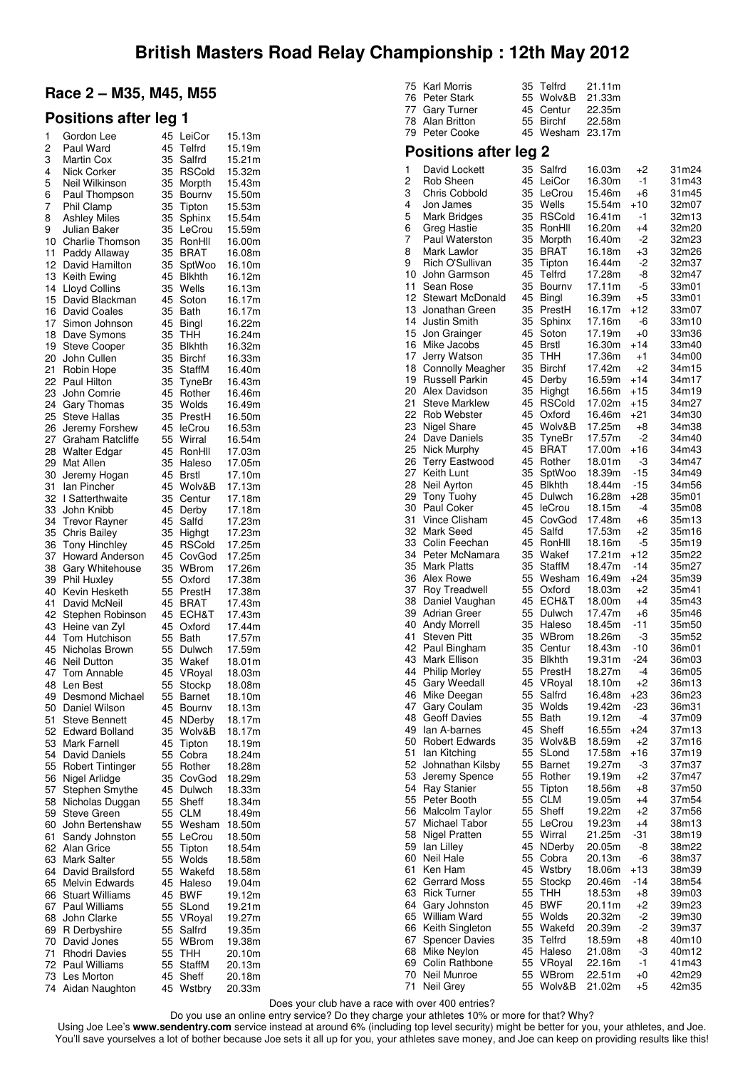### **Race 2 – M35, M45, M55**

### **Positions after leg 1**

| 1        | Gordon Lee                              | 45       | LeiCor                 | 15.13m           |
|----------|-----------------------------------------|----------|------------------------|------------------|
| 2        | Paul Ward                               | 45       | Telfrd                 | 15.19m           |
| 3<br>4   | Martin Cox<br>Nick Corker               | 35<br>35 | Salfrd<br>RSCold       | 15.21m<br>15.32m |
| 5        | Neil Wilkinson                          | 35       | Morpth                 | 15.43m           |
| 6        | Paul Thompson                           | 35       | Bournv                 | 15.50m           |
| 7        | Phil Clamp                              | 35       | Tipton                 | 15.53m           |
| 8        | <b>Ashley Miles</b>                     | 35       | Sphinx                 | 15.54m           |
| 9        | Julian Baker                            | 35       | LeCrou                 | 15.59m           |
| 10       | Charlie Thomson                         | 35       | RonHll                 | 16.00m           |
| 11       | Paddy Allaway                           | 35       | BRAT                   | 16.08m           |
| 12<br>13 | David Hamilton<br>Keith Ewing           | 35<br>45 | SptWoo<br>Blkhth       | 16.10m<br>16.12m |
| 14       | <b>Lloyd Collins</b>                    | 35       | Wells                  | 16.13m           |
| 15       | David Blackman                          | 45       | Soton                  | 16.17m           |
| 16       | David Coales                            | 35       | Bath                   | 16.17m           |
| 17       | Simon Johnson                           | 45       | Bingl                  | 16.22m           |
| 18       | Dave Symons                             | 35       | THH                    | 16.24m           |
| 19       | Steve Cooper                            | 35       | <b>Blkhth</b>          | 16.32m           |
| 20<br>21 | John Cullen                             | 35<br>35 | Birchf                 | 16.33m           |
| 22       | Robin Hope<br>Paul Hilton               | 35       | StaffM<br>TyneBr       | 16.40m<br>16.43m |
| 23       | John Comrie                             | 45       | Rother                 | 16.46m           |
| 24       | Gary Thomas                             | 35       | Wolds                  | 16.49m           |
| 25       | Steve Hallas                            | 35       | PrestH                 | 16.50m           |
| 26       | Jeremy Forshew                          | 45       | leCrou                 | 16.53m           |
| 27       | <b>Graham Ratcliffe</b>                 | 55       | Wirral                 | 16.54m           |
| 28       | <b>Walter Edgar</b>                     | 45<br>35 | RonHll                 | 17.03m           |
| 29<br>30 | Mat Allen<br>Jeremy Hogan               | 45       | Haleso<br><b>Brstl</b> | 17.05m<br>17.10m |
| 31       | lan Pincher                             | 45       | Wolv&B                 | 17.13m           |
| 32       | I Satterthwaite                         | 35       | Centur                 | 17.18m           |
| 33       | John Knibb                              | 45       | Derby                  | 17.18m           |
| 34       | <b>Trevor Rayner</b>                    | 45       | Salfd                  | 17.23m           |
| 35       | Chris Bailey                            | 35       | Highgt                 | 17.23m           |
| 36<br>37 | <b>Tony Hinchley</b>                    | 45<br>45 | RSCold                 | 17.25m<br>17.25m |
| 38       | Howard Anderson<br>Gary Whitehouse      | 35       | CovGod<br>WBrom        | 17.26m           |
| 39       | Phil Huxley                             | 55       | Oxford                 | 17.38m           |
| 40       | Kevin Hesketh                           | 55       | PrestH                 | 17.38m           |
| 41       | David McNeil                            | 45       | BRAT                   | 17.43m           |
| 42       | Stephen Robinson                        | 45       | ECH&T                  | 17.43m           |
| 43       | Heine van Zyl                           | 45<br>55 | Oxford                 | 17.44m           |
| 44<br>45 | Tom Hutchison<br>Nicholas Brown         | 55       | Bath<br>Dulwch         | 17.57m<br>17.59m |
| 46       | <b>Neil Dutton</b>                      | 35       | Wakef                  | 18.01m           |
| 47       | Tom Annable                             | 45       | VRoyal                 | 18.03m           |
| 48       | Len Best                                | 55       | Stockp                 | 18.08m           |
| 49       | Desmond Michael                         | 55       | Barnet                 | 18.10m           |
| 50       | Daniel Wilson                           | 45       | Bournv                 | 18.13m           |
| 51<br>52 | Steve Bennett<br><b>Edward Bolland</b>  | 45<br>35 | NDerby<br>Wolv&B       | 18.17m<br>18.17m |
| 53       | Mark Farnell                            | 45       | Tipton                 | 18.19m           |
| 54       | David Daniels                           | 55       | Cobra                  | 18.24m           |
| 55       | Robert Tintinger                        | 55       | Rother                 | 18.28m           |
| 56       | Nigel Arlidge                           | 35       | CovGod                 | 18.29m           |
| 57       | Stephen Smythe                          | 45       | Dulwch                 | 18.33m           |
| 58<br>59 | Nicholas Duggan<br><b>Steve Green</b>   | 55<br>55 | Sheff<br><b>CLM</b>    | 18.34m<br>18.49m |
| 60       | John Bertenshaw                         | 55       | Wesham                 | 18.50m           |
| 61       | Sandy Johnston                          | 55       | LeCrou                 | 18.50m           |
| 62       | Alan Grice                              | 55       | Tipton                 | 18.54m           |
| 63       | Mark Salter                             | 55       | Wolds                  | 18.58m           |
| 64       | David Brailsford                        | 55       | Wakefd                 | 18.58m           |
| 65       | Melvin Edwards                          | 45       | Haleso                 | 19.04m           |
| 66<br>67 | <b>Stuart Williams</b><br>Paul Williams | 45<br>55 | <b>BWF</b><br>SLond    | 19.12m<br>19.21m |
| 68       | John Clarke                             | 55       | VRoyal                 | 19.27m           |
| 69       | R Derbyshire                            | 55       | Salfrd                 | 19.35m           |
| 70       | David Jones                             | 55       | WBrom                  | 19.38m           |
| 71       | Rhodri Davies                           | 55       | THH                    | 20.10m           |
| 72       | Paul Williams                           | 55       | StaffM                 | 20.13m           |
| 73<br>74 | Les Morton<br>Aidan Naughton            | 45<br>45 | Sheff<br>Wstbry        | 20.18m<br>20.33m |
|          |                                         |          |                        |                  |

| 75       | Karl Morris                              | 35       | Telfrd                  | 21.11m           |               |                |
|----------|------------------------------------------|----------|-------------------------|------------------|---------------|----------------|
| 76<br>77 | <b>Peter Stark</b><br><b>Gary Turner</b> | 55<br>45 | Wolv&B<br>Centur        | 21.33m<br>22.35m |               |                |
| 78       | Alan Britton                             | 55       | <b>Birchf</b>           | 22.58m           |               |                |
|          | 79 Peter Cooke                           | 45       | Wesham                  | 23.17m           |               |                |
|          | <b>Positions after leg 2</b>             |          |                         |                  |               |                |
| 1        | David Lockett                            | 35       | Salfrd                  | 16.03m           | $+2$          | 31m24          |
| 2        | Rob Sheen                                | 45       | LeiCor                  | 16.30m           | $-1$<br>$+6$  | 31m43          |
| 3<br>4   | <b>Chris Cobbold</b><br>Jon James        | 35<br>35 | LeCrou<br>Wells         | 15.46m<br>15.54m | +10           | 31m45<br>32m07 |
| 5        | <b>Mark Bridges</b>                      | 35       | <b>RSCold</b>           | 16.41m           | $-1$          | 32m13          |
| 6        | Greg Hastie                              | 35       | RonHll                  | 16.20m           | $+4$          | 32m20          |
| 7        | <b>Paul Waterston</b>                    | 35       | Morpth                  | 16.40m           | -2            | 32m23          |
| 8        | Mark Lawlor                              | 35       | <b>BRAT</b>             | 16.18m           | $+3$          | 32m26          |
| 9<br>10  | Rich O'Sullivan<br>John Garmson          | 35<br>45 | Tipton<br>Telfrd        | 16.44m<br>17.28m | -2<br>-8      | 32m37<br>32m47 |
| 11       | Sean Rose                                | 35       | Bourny                  | 17.11m           | -5            | 33m01          |
| 12       | <b>Stewart McDonald</b>                  | 45       | Bingl                   | 16.39m           | $+5$          | 33m01          |
| 13       | Jonathan Green                           | 35       | PrestH                  | 16.17m           | +12           | 33m07          |
| 14       | <b>Justin Smith</b>                      | 35       | Sphinx                  | 17.16m           | -6            | 33m10          |
| 15<br>16 | Jon Grainger<br>Mike Jacobs              | 45<br>45 | Soton<br><b>Brstl</b>   | 17.19m<br>16.30m | $+0$<br>$+14$ | 33m36<br>33m40 |
| 17       | Jerry Watson                             | 35       | THH                     | 17.36m           | $+1$          | 34m00          |
| 18       | <b>Connolly Meagher</b>                  | 35       | <b>Birchf</b>           | 17.42m           | $+2$          | 34m15          |
| 19       | Russell Parkin                           | 45       | Derby                   | 16.59m           | +14           | 34m17          |
| 20       | Alex Davidson                            | 35       | Highgt                  | 16.56m           | +15           | 34m19          |
| 21<br>22 | <b>Steve Marklew</b><br>Rob Webster      | 45<br>45 | <b>RSCold</b><br>Oxford | 17.02m<br>16.46m | $+15$<br>+21  | 34m27<br>34m30 |
| 23       | Nigel Share                              | 45       | Wolv&B                  | 17.25m           | +8            | 34m38          |
| 24       | Dave Daniels                             | 35       | TyneBr                  | 17.57m           | -2            | 34m40          |
| 25       | Nick Murphy                              | 45       | <b>BRAT</b>             | 17.00m           | $+16$         | 34m43          |
| 26       | <b>Terry Eastwood</b>                    | 45       | Rother                  | 18.01m           | -3            | 34m47          |
| 27<br>28 | Keith Lunt<br>Neil Ayrton                | 35<br>45 | SptWoo<br><b>Blkhth</b> | 18.39m<br>18.44m | -15<br>-15    | 34m49<br>34m56 |
| 29       | <b>Tony Tuohy</b>                        | 45       | Dulwch                  | 16.28m           | $+28$         | 35m01          |
| 30       | <b>Paul Coker</b>                        | 45       | leCrou                  | 18.15m           | $-4$          | 35m08          |
| 31       | Vince Clisham                            | 45       | CovGod                  | 17.48m           | +6            | 35m13          |
| 32       | Mark Seed                                | 45       | Salfd                   | 17.53m           | $+2$          | 35m16          |
| 33<br>34 | Colin Feechan<br>Peter McNamara          | 45<br>35 | RonHll<br>Wakef         | 18.16m<br>17.21m | -5<br>+12     | 35m19<br>35m22 |
| 35       | Mark Platts                              | 35       | <b>StaffM</b>           | 18.47m           | $-14$         | 35m27          |
| 36       | Alex Rowe                                | 55       | Wesham                  | 16.49m           | +24           | 35m39          |
| 37       | Roy Treadwell                            | 55       | Oxford                  | 18.03m           | +2            | 35m41          |
| 38       | Daniel Vaughan                           | 45       | ECH&T                   | 18.00m           | $+4$          | 35m43          |
| 39<br>40 | Adrian Greer<br><b>Andy Morrell</b>      | 55<br>35 | Dulwch<br>Haleso        | 17.47m<br>18.45m | $+6$<br>$-11$ | 35m46<br>35m50 |
| 41       | Steven Pitt                              | 35       | WBrom                   | 18.26m           | -3            | 35m52          |
| 42       | Paul Bingham                             | 35       | Centur                  | 18.43m           | -10           | 36m01          |
| 43       | Mark Ellison                             | 35       | <b>Blkhth</b>           | 19.31m           | $-24$         | 36m03          |
| 44<br>45 | <b>Philip Morley</b><br>Gary Weedall     | 55<br>45 | PrestH                  | 18.27m           | -4<br>$+2$    | 36m05          |
| 46       | Mike Deegan                              | 55       | VRoyal<br>Salfrd        | 18.10m<br>16.48m | +23           | 36m13<br>36m23 |
| 47       | Gary Coulam                              | 35       | Wolds                   | 19.42m           | -23           | 36m31          |
| 48       | <b>Geoff Davies</b>                      | 55       | Bath                    | 19.12m           | -4            | 37m09          |
| 49       | lan A-barnes                             | 45       | Sheff                   | 16.55m           | +24           | 37m13          |
| 50<br>51 | Robert Edwards<br>Ian Kitching           | 35<br>55 | Wolv&B<br>SLond         | 18.59m<br>17.58m | +2<br>+16     | 37m16<br>37m19 |
| 52       | Johnathan Kilsby                         | 55       | <b>Barnet</b>           | 19.27m           | -3            | 37m37          |
| 53       | Jeremy Spence                            | 55       | Rother                  | 19.19m           | $+2$          | 37m47          |
| 54       | <b>Ray Stanier</b>                       | 55       | Tipton                  | 18.56m           | +8            | 37m50          |
| 55       | Peter Booth                              | 55       | CLM                     | 19.05m           | +4            | 37m54          |
| 56<br>57 | Malcolm Taylor<br>Michael Tabor          | 55<br>55 | Sheff<br>LeCrou         | 19.22m<br>19.23m | $+2$<br>$+4$  | 37m56<br>38m13 |
| 58       | Nigel Pratten                            | 55       | Wirral                  | 21.25m           | $-31$         | 38m19          |
| 59       | lan Lilley                               | 45       | NDerby                  | 20.05m           | -8            | 38m22          |
| 60       | Neil Hale                                | 55       | Cobra                   | 20.13m           | -6            | 38m37          |
| 61       | Ken Ham                                  | 45       | Wstbry                  | 18.06m           | +13           | 38m39          |
| 62<br>63 | Gerrard Moss<br><b>Rick Turner</b>       | 55<br>55 | Stockp<br><b>THH</b>    | 20.46m<br>18.53m | -14<br>+8     | 38m54<br>39m03 |
| 64       | Gary Johnston                            | 45       | <b>BWF</b>              | 20.11m           | $+2$          | 39m23          |
| 65       | William Ward                             | 55       | Wolds                   | 20.32m           | $-2$          | 39m30          |
| 66       | Keith Singleton                          | 55       | Wakefd                  | 20.39m           | -2            | 39m37          |
| 67       | <b>Spencer Davies</b>                    | 35       | Telfrd                  | 18.59m           | +8            | 40m10          |
| 68<br>69 | Mike Neylon<br>Colin Rathbone            | 45<br>55 | Haleso<br>VRoyal        | 21.08m<br>22.16m | -3<br>-1      | 40m12<br>41m43 |
| 70       | Neil Munroe                              | 55       | WBrom                   | 22.51m           | $+0$          | 42m29          |
| 71       | Neil Grey                                | 55       | Wolv&B                  | 21.02m           | $+5$          | 42m35          |

Does your club have a race with over 400 entries?

Do you use an online entry service? Do they charge your athletes 10% or more for that? Why?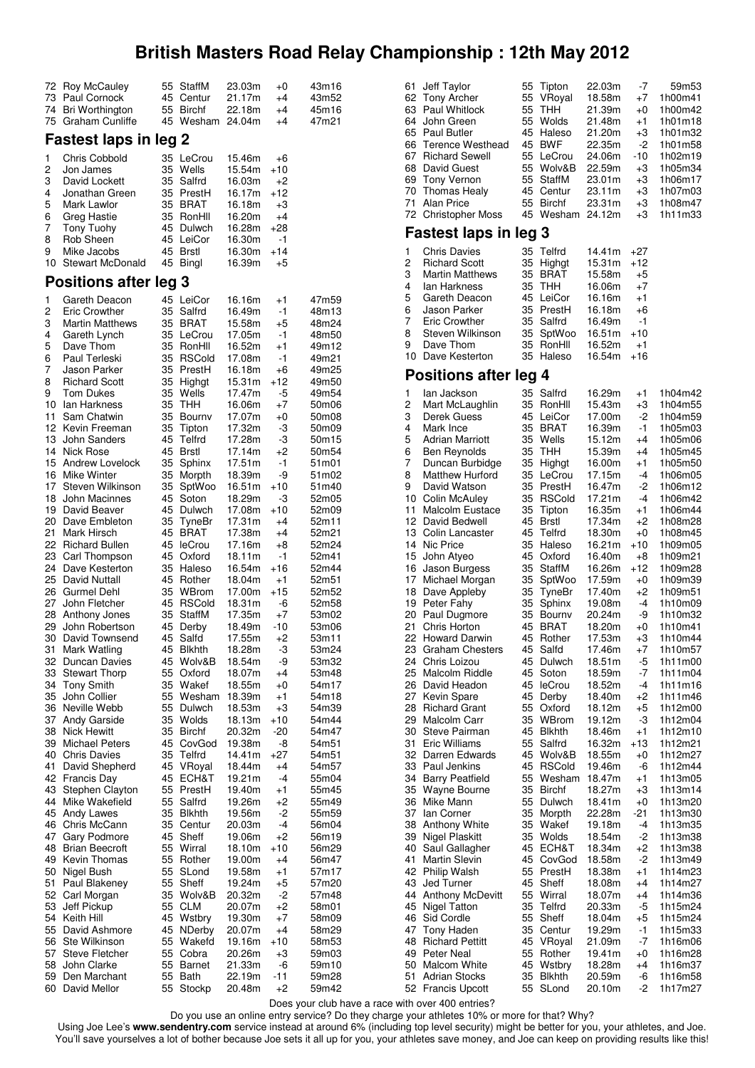| 72 | Roy McCauley                 | 55 | StaffM        | 23.03m | +0    | 43m16 |
|----|------------------------------|----|---------------|--------|-------|-------|
| 73 |                              | 45 | Centur        | 21.17m |       | 43m52 |
|    | Paul Cornock                 |    |               |        | +4    |       |
| 74 | Bri Worthington              | 55 | <b>Birchf</b> | 22.18m | $+4$  | 45m16 |
| 75 | Graham Cunliffe              | 45 | Wesham 24.04m |        | +4    | 47m21 |
|    |                              |    |               |        |       |       |
|    | <b>Fastest laps in leg 2</b> |    |               |        |       |       |
|    |                              |    |               |        |       |       |
| 1  | <b>Chris Cobbold</b>         | 35 | LeCrou        | 15.46m | +6    |       |
| 2  | Jon James                    | 35 | Wells         | 15.54m | $+10$ |       |
| 3  | David Lockett                | 35 | Salfrd        | 16.03m | +2    |       |
| 4  | Jonathan Green               | 35 | PrestH        | 16.17m | $+12$ |       |
|    |                              |    |               |        |       |       |
| 5  | Mark Lawlor                  | 35 | <b>BRAT</b>   | 16.18m | +3    |       |
| 6  | Greg Hastie                  | 35 | RonHll        | 16.20m | +4    |       |
| 7  | Tony Tuohy                   | 45 | Dulwch        | 16.28m | $+28$ |       |
| 8  | Rob Sheen                    | 45 | LeiCor        | 16.30m | -1    |       |
| 9  | Mike Jacobs                  | 45 | <b>Brstl</b>  | 16.30m | +14   |       |
|    |                              |    |               |        |       |       |
| 10 | Stewart McDonald             | 45 | Bingl         | 16.39m | +5    |       |
|    | <b>Positions after leg 3</b> |    |               |        |       |       |
|    |                              |    |               |        |       |       |
| 1  | Gareth Deacon                | 45 | LeiCor        | 16.16m | +1    | 47m59 |
| 2  | Eric Crowther                | 35 | Salfrd        | 16.49m | -1    | 48m13 |
|    |                              | 35 | <b>BRAT</b>   |        | +5    | 48m24 |
| 3  | <b>Martin Matthews</b>       |    |               | 15.58m |       |       |
| 4  | Gareth Lynch                 | 35 | LeCrou        | 17.05m | -1    | 48m50 |
| 5  | Dave Thom                    | 35 | RonHll        | 16.52m | +1    | 49m12 |
| 6  | Paul Terleski                | 35 | <b>RSCold</b> | 17.08m | -1    | 49m21 |
| 7  | Jason Parker                 | 35 | PrestH        | 16.18m | +6    | 49m25 |
|    |                              |    |               |        |       |       |
| 8  | <b>Richard Scott</b>         | 35 | Highgt        | 15.31m | $+12$ | 49m50 |
| 9  | Tom Dukes                    | 35 | Wells         | 17.47m | -5    | 49m54 |
| 10 | lan Harkness                 | 35 | <b>THH</b>    | 16.06m | +7    | 50m06 |
| 11 | Sam Chatwin                  | 35 | Bourny        | 17.07m | +0    | 50m08 |
| 12 | Kevin Freeman                | 35 | Tipton        | 17.32m | -3    | 50m09 |
|    |                              |    |               |        |       |       |
| 13 | John Sanders                 | 45 | Telfrd        | 17.28m | -3    | 50m15 |
| 14 | <b>Nick Rose</b>             | 45 | <b>Brstl</b>  | 17.14m | +2    | 50m54 |
| 15 | Andrew Lovelock              | 35 | Sphinx        | 17.51m | -1    | 51m01 |
| 16 | Mike Winter                  | 35 | Morpth        | 18.39m | -9    | 51m02 |
| 17 | Steven Wilkinson             | 35 | SptWoo        | 16.51m | $+10$ | 51m40 |
|    |                              |    |               |        |       |       |
| 18 | John Macinnes                | 45 | Soton         | 18.29m | -3    | 52m05 |
| 19 | David Beaver                 | 45 | Dulwch        | 17.08m | +10   | 52m09 |
| 20 | Dave Embleton                | 35 | TyneBr        | 17.31m | +4    | 52m11 |
| 21 | Mark Hirsch                  | 45 | <b>BRAT</b>   | 17.38m | +4    | 52m21 |
| 22 | Richard Bullen               | 45 | leCrou        | 17.16m | +8    | 52m24 |
|    |                              |    |               |        |       |       |
| 23 | Carl Thompson                | 45 | Oxford        | 18.11m | -1    | 52m41 |
| 24 | Dave Kesterton               | 35 | Haleso        | 16.54m | +16   | 52m44 |
| 25 | David Nuttall                | 45 | Rother        | 18.04m | $+1$  | 52m51 |
| 26 | <b>Gurmel Dehl</b>           | 35 | WBrom         | 17.00m | $+15$ | 52m52 |
| 27 | John Fletcher                | 45 | <b>RSCold</b> | 18.31m | -6    | 52m58 |
|    |                              |    |               |        |       |       |
| 28 | Anthony Jones                | 35 | StaffM        | 17.35m | $+7$  | 53m02 |
| 29 | John Robertson               | 45 | Derby         | 18.49m | -10   | 53m06 |
| 30 | David Townsend               | 45 | Salfd         | 17.55m | $+2$  | 53m11 |
| 31 | Mark Watling                 | 45 | <b>Blkhth</b> | 18.28m | -3    | 53m24 |
| 32 | Duncan Davies                | 45 | Wolv&B        | 18.54m | -9    | 53m32 |
| 33 |                              | 55 |               |        |       |       |
|    | <b>Stewart Thorp</b>         |    | Oxford        | 18.07m | $+4$  | 53m48 |
| 34 | <b>Tony Smith</b>            | 35 | Wakef         | 18.55m | +0    | 54m17 |
| 35 | John Collier                 | 55 | Wesham        | 18.39m | +1    | 54m18 |
| 36 | Neville Webb                 | 55 | Dulwch        | 18.53m | +3    | 54m39 |
| 37 | Andy Garside                 | 35 | Wolds         | 18.13m | +10   | 54m44 |
| 38 | <b>Nick Hewitt</b>           | 35 | <b>Birchf</b> | 20.32m | -20   | 54m47 |
|    |                              |    |               |        |       |       |
| 39 | <b>Michael Peters</b>        | 45 | CovGod        | 19.38m | -8    | 54m51 |
| 40 | <b>Chris Davies</b>          | 35 | Telfrd        | 14.41m | +27   | 54m51 |
| 41 | David Shepherd               | 45 | VRoyal        | 18.44m | +4    | 54m57 |
| 42 | Francis Day                  | 45 | ECH&T         | 19.21m | -4    | 55m04 |
| 43 | <b>Stephen Clayton</b>       | 55 | PrestH        | 19.40m | +1    | 55m45 |
|    |                              |    |               |        |       |       |
| 44 | Mike Wakefield               | 55 | Salfrd        | 19.26m | +2    | 55m49 |
| 45 | Andy Lawes                   | 35 | <b>Blkhth</b> | 19.56m | -2    | 55m59 |
| 46 | Chris McCann                 | 35 | Centur        | 20.03m | -4    | 56m04 |
| 47 | Gary Podmore                 | 45 | Sheff         | 19.06m | $+2$  | 56m19 |
| 48 | <b>Brian Beecroft</b>        | 55 | Wirral        | 18.10m | $+10$ | 56m29 |
| 49 | Kevin Thomas                 | 55 | Rother        |        | $+4$  |       |
|    |                              |    |               | 19.00m |       | 56m47 |
| 50 | Nigel Bush                   | 55 | SLond         | 19.58m | +1    | 57m17 |
| 51 | Paul Blakeney                | 55 | Sheff         | 19.24m | $+5$  | 57m20 |
| 52 | Carl Morgan                  | 35 | Wolv&B        | 20.32m | -2    | 57m48 |
| 53 | Jeff Pickup                  | 55 | <b>CLM</b>    | 20.07m | +2    | 58m01 |
|    | Keith Hill                   | 45 | Wstbry        | 19.30m |       |       |
| 54 |                              |    |               |        | +7    | 58m09 |
| 55 | David Ashmore                | 45 | NDerby        | 20.07m | $+4$  | 58m29 |
| 56 | Ste Wilkinson                | 55 | Wakefd        | 19.16m | $+10$ | 58m53 |
| 57 | Steve Fletcher               | 55 | Cobra         | 20.26m | $+3$  | 59m03 |
| 58 | John Clarke                  | 55 | Barnet        | 21.33m | -6    | 59m10 |
| 59 | Den Marchant                 | 55 | Bath          | 22.19m | -11   | 59m28 |
|    |                              |    |               |        |       |       |
| 60 | David Mellor                 | 55 | Stockp        | 20.48m | +2    | 59m42 |

| 61 | Jeff Taylor                  | 55 | Tipton        | 22.03m | -7    | 59m53   |
|----|------------------------------|----|---------------|--------|-------|---------|
| 62 | <b>Tony Archer</b>           | 55 | VRoyal        | 18.58m | +7    | 1h00m41 |
| 63 | Paul Whitlock                | 55 | тнн           | 21.39m | +0    | 1h00m42 |
| 64 | John Green                   | 55 | Wolds         | 21.48m | $+1$  | 1h01m18 |
| 65 | <b>Paul Butler</b>           | 45 | Haleso        | 21.20m | $+3$  | 1h01m32 |
| 66 | <b>Terence Westhead</b>      | 45 | <b>BWF</b>    | 22.35m | $-2$  | 1h01m58 |
|    |                              |    |               |        |       |         |
| 67 | <b>Richard Sewell</b>        | 55 | LeCrou        | 24.06m | -10   | 1h02m19 |
| 68 | David Guest                  | 55 | Wolv&B        | 22.59m | $+3$  | 1h05m34 |
| 69 | <b>Tony Vernon</b>           | 55 | StaffM        | 23.01m | +3    | 1h06m17 |
| 70 | Thomas Healy                 | 45 | Centur        | 23.11m | +3    | 1h07m03 |
| 71 | <b>Alan Price</b>            | 55 | <b>Birchf</b> | 23.31m | +3    | 1h08m47 |
| 72 | <b>Christopher Moss</b>      | 45 | Wesham        | 24.12m | $+3$  | 1h11m33 |
|    |                              |    |               |        |       |         |
|    | <b>Fastest laps in leg 3</b> |    |               |        |       |         |
|    |                              |    |               |        |       |         |
| 1  | <b>Chris Davies</b>          | 35 | Telfrd        | 14.41m | $+27$ |         |
| 2  | Richard Scott                | 35 | Highgt        | 15.31m | $+12$ |         |
| 3  | <b>Martin Matthews</b>       | 35 | <b>BRAT</b>   | 15.58m | +5    |         |
| 4  | lan Harkness                 | 35 | <b>THH</b>    | 16.06m | $+7$  |         |
| 5  | Gareth Deacon                |    | 45 LeiCor     | 16.16m | $+1$  |         |
| 6  | <b>Jason Parker</b>          |    | 35 PrestH     | 16.18m | +6    |         |
| 7  |                              | 35 | Salfrd        |        | -1    |         |
|    | Eric Crowther                |    |               | 16.49m |       |         |
| 8  | Steven Wilkinson             | 35 | SptWoo        | 16.51m | +10   |         |
| 9  | Dave Thom                    | 35 | RonHll        | 16.52m | $+1$  |         |
| 10 | Dave Kesterton               | 35 | Haleso        | 16.54m | $+16$ |         |
|    |                              |    |               |        |       |         |
|    | <b>Positions after leg 4</b> |    |               |        |       |         |
| 1  | lan Jackson                  | 35 | Salfrd        | 16.29m | +1    | 1h04m42 |
| 2  | Mart McLaughlin              | 35 | RonHll        | 15.43m | +3    | 1h04m55 |
| 3  | Derek Guess                  |    | 45 LeiCor     | 17.00m | $-2$  | 1h04m59 |
| 4  | Mark Ince                    | 35 | BRAT          | 16.39m | -1    | 1h05m03 |
| 5  | <b>Adrian Marriott</b>       | 35 | Wells         | 15.12m | +4    | 1h05m06 |
|    |                              |    |               |        |       |         |
| 6  | Ben Reynolds                 | 35 | тнн           | 15.39m | +4    | 1h05m45 |
| 7  | Duncan Burbidge              | 35 | Highgt        | 16.00m | +1    | 1h05m50 |
| 8  | <b>Matthew Hurford</b>       | 35 | LeCrou        | 17.15m | -4    | 1h06m05 |
| 9  | David Watson                 | 35 | PrestH        | 16.47m | $-2$  | 1h06m12 |
| 10 | Colin McAuley                | 35 | <b>RSCold</b> | 17.21m | $-4$  | 1h06m42 |
| 11 | Malcolm Eustace              | 35 | Tipton        | 16.35m | $+1$  | 1h06m44 |
| 12 | David Bedwell                | 45 | <b>Brstl</b>  | 17.34m | +2    | 1h08m28 |
| 13 | Colin Lancaster              | 45 | Telfrd        | 18.30m | $+0$  | 1h08m45 |
|    |                              |    |               |        |       |         |
| 14 | Nic Price                    | 35 | Haleso        | 16.21m | $+10$ | 1h09m05 |
| 15 | John Atyeo                   | 45 | Oxford        | 16.40m | +8    | 1h09m21 |
| 16 | Jason Burgess                | 35 | <b>StaffM</b> | 16.26m | $+12$ | 1h09m28 |
| 17 | Michael Morgan               | 35 | SptWoo        | 17.59m | $+0$  | 1h09m39 |
| 18 | Dave Appleby                 | 35 | TyneBr        | 17.40m | +2    | 1h09m51 |
| 19 | Peter Fahy                   | 35 | Sphinx        | 19.08m | -4    | 1h10m09 |
| 20 | Paul Dugmore                 | 35 | Bourny        | 20.24m | -9    | 1h10m32 |
|    |                              |    | <b>BRAT</b>   |        |       |         |
| 21 | Chris Horton                 | 45 |               | 18.20m | +0    | 1h10m41 |
| 22 | Howard Darwin                | 45 | Rother        | 17.53m | +3    | 1h10m44 |
| 23 | <b>Graham Chesters</b>       | 45 | Salfd         | 17.46m | +7    | 1h10m57 |
| 24 | Chris Loizou                 | 45 | Dulwch        | 18.51m | -5    | 1h11m00 |
| 25 | Malcolm Riddle               | 45 | Soton         | 18.59m | -7    | 1h11m04 |
| 26 | David Headon                 | 45 | leCrou        | 18.52m | -4    | 1h11m16 |
| 27 | Kevin Spare                  | 45 | Derby         | 18.40m | +2    | 1h11m46 |
| 28 | <b>Richard Grant</b>         | 55 | Oxford        | 18.12m | +5    | 1h12m00 |
| 29 | Malcolm Carr                 | 35 | WBrom         | 19.12m | -3    |         |
|    |                              |    |               |        |       | 1h12m04 |
| 30 | Steve Pairman                | 45 | <b>Blkhth</b> | 18.46m | +1    | 1h12m10 |
| 31 | Eric Williams                | 55 | Salfrd        | 16.32m | $+13$ | 1h12m21 |
| 32 | Darren Edwards               | 45 | Wolv&B        | 18.55m | +0    | 1h12m27 |
| 33 | Paul Jenkins                 | 45 | <b>RSCold</b> | 19.46m | -6    | 1h12m44 |
| 34 | <b>Barry Peatfield</b>       | 55 | Wesham        | 18.47m | +1    | 1h13m05 |
| 35 | Wayne Bourne                 | 35 | <b>Birchf</b> | 18.27m | +3    | 1h13m14 |
| 36 | Mike Mann                    | 55 | Dulwch        | 18.41m | +0    | 1h13m20 |
| 37 |                              | 35 |               |        |       |         |
|    | lan Corner                   |    | Morpth        | 22.28m | -21   | 1h13m30 |
| 38 | Anthony White                | 35 | Wakef         | 19.18m | -4    | 1h13m35 |
| 39 | Nigel Plaskitt               | 35 | Wolds         | 18.54m | -2    | 1h13m38 |
| 40 | Saul Gallagher               | 45 | ECH&T         | 18.34m | $+2$  | 1h13m38 |
| 41 | Martin Slevin                | 45 | CovGod        | 18.58m | -2    | 1h13m49 |
| 42 | Philip Walsh                 | 55 | PrestH        | 18.38m | $+1$  | 1h14m23 |
| 43 | Jed Turner                   | 45 | Sheff         | 18.08m | +4    | 1h14m27 |
| 44 | <b>Anthony McDevitt</b>      | 55 | Wirral        | 18.07m | +4    | 1h14m36 |
| 45 |                              | 35 | Telfrd        |        |       |         |
|    | Nigel Tatton                 |    |               | 20.33m | -5    | 1h15m24 |
| 46 | Sid Cordle                   | 55 | Sheff         | 18.04m | $+5$  | 1h15m24 |
| 47 | Tony Haden                   | 35 | Centur        | 19.29m | -1    | 1h15m33 |
| 48 | <b>Richard Pettitt</b>       | 45 | VRoyal        | 21.09m | -7    | 1h16m06 |
| 49 | Peter Neal                   | 55 | Rother        | 19.41m | +0    | 1h16m28 |
| 50 | Malcom White                 | 45 | Wstbry        | 18.28m | $+4$  | 1h16m37 |
| 51 | <b>Adrian Stocks</b>         | 35 | <b>Blkhth</b> | 20.59m | -6    | 1h16m58 |
| 52 | <b>Francis Upcott</b>        | 55 | SLond         | 20.10m | -2    | 1h17m27 |
|    |                              |    |               |        |       |         |

Does your club have a race with over 400 entries?

Do you use an online entry service? Do they charge your athletes 10% or more for that? Why?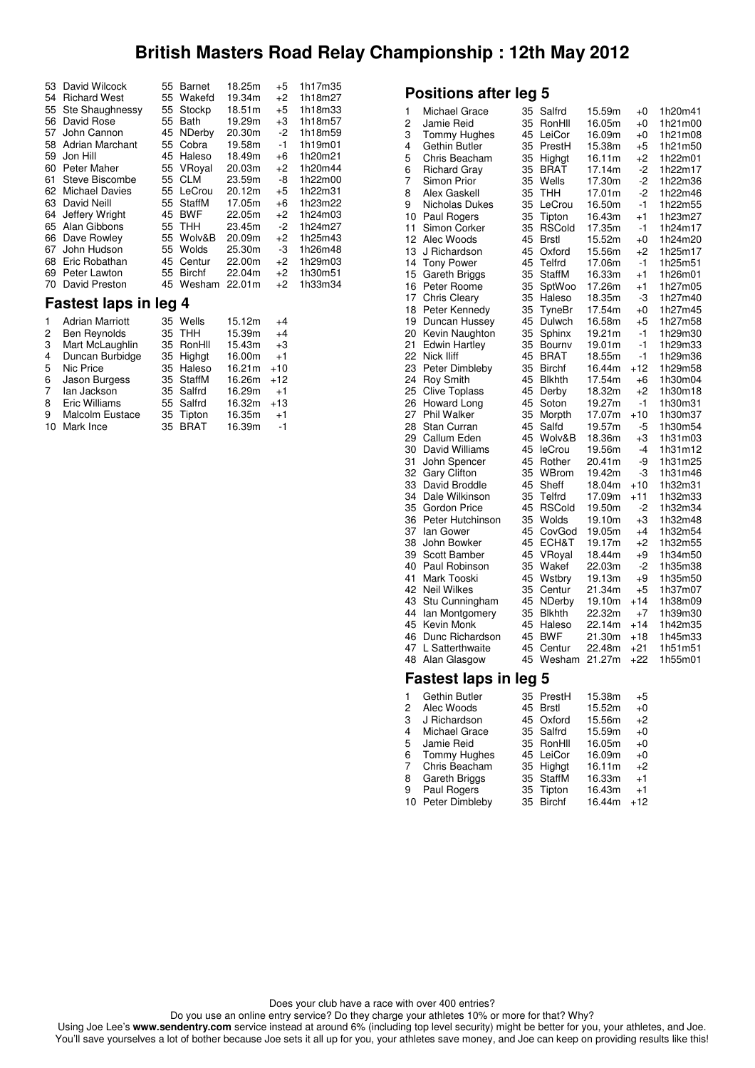|     | 53 David Wilcock       |    | 55 Barnet     | 18.25m | +5   | 1h17m35 |
|-----|------------------------|----|---------------|--------|------|---------|
| 54  | <b>Richard West</b>    | 55 | Wakefd        | 19.34m | $+2$ | 1h18m27 |
| 55  | Ste Shaughnessy        | 55 | Stockp        | 18.51m | $+5$ | 1h18m33 |
| 56  | David Rose             | 55 | <b>Bath</b>   | 19.29m | +3   | 1h18m57 |
| 57  | John Cannon            | 45 | <b>NDerby</b> | 20.30m | -2   | 1h18m59 |
| 58  | <b>Adrian Marchant</b> |    | 55 Cobra      | 19.58m | $-1$ | 1h19m01 |
| 59  | Jon Hill               | 45 | Haleso        | 18.49m | +6   | 1h20m21 |
| 60  | Peter Maher            |    | 55 VRoyal     | 20.03m | +2   | 1h20m44 |
| 61  | Steve Biscombe         |    | 55 CLM        | 23.59m | -8   | 1h22m00 |
| 62  | <b>Michael Davies</b>  | 55 | LeCrou        | 20.12m | +5   | 1h22m31 |
|     | 63 David Neill         | 55 | StaffM        | 17.05m | +6   | 1h23m22 |
| 64  | Jeffery Wright         | 45 | <b>BWF</b>    | 22.05m | +2   | 1h24m03 |
|     | 65 Alan Gibbons        |    | 55 THH        | 23.45m | $-2$ | 1h24m27 |
|     | 66 Dave Rowley         | 55 | Wolv&B        | 20.09m | $+2$ | 1h25m43 |
| 67. | John Hudson            | 55 | Wolds         | 25.30m | -3   | 1h26m48 |
| 68  | Eric Robathan          | 45 | Centur        | 22.00m | $+2$ | 1h29m03 |
| 69  | Peter Lawton           | 55 | <b>Birchf</b> | 22.04m | $+2$ | 1h30m51 |
| 70  | David Preston          | 45 | Wesham        | 22.01m | $+2$ | 1h33m34 |
|     |                        |    |               |        |      |         |

## **Fastest laps in leg 4**

|    | <b>Adrian Marriott</b> | 35 Wells  | 15.12m | $+4$  |
|----|------------------------|-----------|--------|-------|
| 2  | <b>Ben Reynolds</b>    | 35 THH    | 15.39m | $+4$  |
| 3  | Mart McLaughlin        | 35 RonHll | 15.43m | $+3$  |
| 4  | Duncan Burbidge        | 35 Highat | 16.00m | $+1$  |
| 5  | Nic Price              | 35 Haleso | 16.21m | $+10$ |
| 6  | Jason Burgess          | 35 StaffM | 16.26m | $+12$ |
| 7  | lan Jackson            | 35 Salfrd | 16.29m | $+1$  |
| 8  | Eric Williams          | 55 Salfrd | 16.32m | $+13$ |
| 9  | <b>Malcolm Eustace</b> | 35 Tipton | 16.35m | $+1$  |
| 10 | Mark Ince              | 35 BRAT   | 16.39m | $-1$  |

## **Positions after leg 5**

| 1  | Michael Grace                | 35 | Salfrd        | 15.59m | +0      | 1h20m41 |
|----|------------------------------|----|---------------|--------|---------|---------|
| 2  | Jamie Reid                   | 35 | RonHll        | 16.05m | +0      | 1h21m00 |
| 3  | Tommy Hughes                 | 45 | LeiCor        | 16.09m | $+0$    | 1h21m08 |
| 4  | Gethin Butler                | 35 | PrestH        | 15.38m | +5      | 1h21m50 |
| 5  | Chris Beacham                | 35 | Highgt        | 16.11m | $+2$    | 1h22m01 |
| 6  | <b>Richard Gray</b>          | 35 | <b>BRAT</b>   | 17.14m | $-2$    | 1h22m17 |
| 7  | Simon Prior                  | 35 | Wells         | 17.30m | $-2$    | 1h22m36 |
| 8  | Alex Gaskell                 | 35 | <b>THH</b>    | 17.01m | $-2$    | 1h22m46 |
| 9  | Nicholas Dukes               | 35 | LeCrou        | 16.50m | $-1$    | 1h22m55 |
| 10 | Paul Rogers                  | 35 | Tipton        | 16.43m | $+1$    | 1h23m27 |
| 11 | Simon Corker                 | 35 | <b>RSCold</b> | 17.35m | -1      | 1h24m17 |
| 12 | Alec Woods                   | 45 | <b>Brstl</b>  | 15.52m | +0      | 1h24m20 |
| 13 | J Richardson                 | 45 | Oxford        | 15.56m | +2      | 1h25m17 |
| 14 | <b>Tony Power</b>            | 45 | Telfrd        | 17.06m | $-1$    | 1h25m51 |
| 15 | Gareth Briggs                | 35 | StaffM        | 16.33m | $+1$    | 1h26m01 |
| 16 | Peter Roome                  | 35 | SptWoo        | 17.26m | +1      | 1h27m05 |
| 17 | Chris Cleary                 | 35 | Haleso        | 18.35m | -3      | 1h27m40 |
| 18 | Peter Kennedy                | 35 | TyneBr        | 17.54m | $+0$    | 1h27m45 |
| 19 | Duncan Hussey                | 45 | Dulwch        | 16.58m | +5      | 1h27m58 |
| 20 | Kevin Naughton               | 35 | Sphinx        | 19.21m | $-1$    | 1h29m30 |
| 21 | <b>Edwin Hartley</b>         | 35 | Bournv        | 19.01m | $-1$    | 1h29m33 |
| 22 | Nick Iliff                   | 45 | <b>BRAT</b>   | 18.55m | $-1$    | 1h29m36 |
| 23 | Peter Dimbleby               | 35 | <b>Birchf</b> | 16.44m | $+12$   | 1h29m58 |
| 24 | <b>Roy Smith</b>             | 45 | <b>Blkhth</b> | 17.54m | $+6$    | 1h30m04 |
| 25 | <b>Clive Toplass</b>         | 45 | Derby         | 18.32m | +2      | 1h30m18 |
| 26 | Howard Long                  | 45 | Soton         | 19.27m | $-1$    | 1h30m31 |
| 27 | <b>Phil Walker</b>           | 35 | Morpth        | 17.07m | $+10$   | 1h30m37 |
| 28 | Stan Curran                  | 45 | Salfd         | 19.57m | -5      | 1h30m54 |
| 29 | Callum Eden                  | 45 | Wolv&B        | 18.36m | +3      | 1h31m03 |
| 30 | David Williams               | 45 | leCrou        | 19.56m | $-4$    | 1h31m12 |
| 31 | John Spencer                 | 45 | Rother        | 20.41m | -9      | 1h31m25 |
| 32 | <b>Gary Clifton</b>          | 35 | WBrom         | 19.42m | -3      | 1h31m46 |
| 33 | David Broddle                | 45 | Sheff         | 18.04m | $+10$   | 1h32m31 |
| 34 | Dale Wilkinson               | 35 | Telfrd        | 17.09m | $+11$   | 1h32m33 |
| 35 | Gordon Price                 | 45 | <b>RSCold</b> | 19.50m | $-2$    | 1h32m34 |
| 36 | Peter Hutchinson             | 35 | Wolds         | 19.10m | $+3$    | 1h32m48 |
| 37 | lan Gower                    | 45 | CovGod        | 19.05m | $+4$    | 1h32m54 |
|    |                              |    |               |        |         |         |
| 38 | John Bowker                  | 45 | ECH&T         | 19.17m | $+2$    | 1h32m55 |
| 39 | Scott Bamber                 | 45 | VRoyal        | 18.44m | +9      | 1h34m50 |
| 40 | Paul Robinson                | 35 | Wakef         | 22.03m | $-2$    | 1h35m38 |
| 41 | Mark Tooski                  | 45 | Wstbry        | 19.13m | +9      | 1h35m50 |
| 42 | <b>Neil Wilkes</b>           | 35 | Centur        | 21.34m | +5      | 1h37m07 |
| 43 | Stu Cunningham               | 45 | NDerby        | 19.10m | $+14$   | 1h38m09 |
| 44 | lan Montgomery               | 35 | <b>Blkhth</b> | 22.32m | $+7$    | 1h39m30 |
| 45 | Kevin Monk                   | 45 | Haleso        | 22.14m | $+14$   | 1h42m35 |
| 46 | Dunc Richardson              | 45 | <b>BWF</b>    | 21.30m | $+18$   | 1h45m33 |
| 47 | L Satterthwaite              | 45 | Centur        | 22.48m | $+21$   | 1h51m51 |
| 48 | Alan Glasgow                 | 45 | Wesham        | 21.27m | $+22$   | 1h55m01 |
|    | <b>Fastest laps in leg 5</b> |    |               |        |         |         |
| 1  | Gethin Butler                | 35 | PrestH        | 15.38m | +5      |         |
| 2  | Alec Woods                   | 45 | <b>Brstl</b>  | 15.52m | $^{+0}$ |         |
| 3  | J Richardson                 | 45 | Oxford        | 15.56m | +2      |         |

| $\overline{2}$ | Alec Woods        | 45 Brstl  | 15.52m | $+0$  |
|----------------|-------------------|-----------|--------|-------|
| 3              | J Richardson      | 45 Oxford | 15.56m | $+2$  |
| 4              | Michael Grace     | 35 Salfrd | 15.59m | $+0$  |
| 5              | Jamie Reid        | 35 RonHll | 16.05m | $+0$  |
| 6              | Tommy Hughes      | 45 LeiCor | 16.09m | $+0$  |
|                | 7 Chris Beacham   | 35 Highat | 16.11m | $+2$  |
| 8              | Gareth Briggs     | 35 StaffM | 16.33m | $+1$  |
| 9              | Paul Rogers       | 35 Tipton | 16.43m | $+1$  |
|                | 10 Peter Dimbleby | 35 Birchf | 16.44m | $+12$ |

Does your club have a race with over 400 entries?

Do you use an online entry service? Do they charge your athletes 10% or more for that? Why?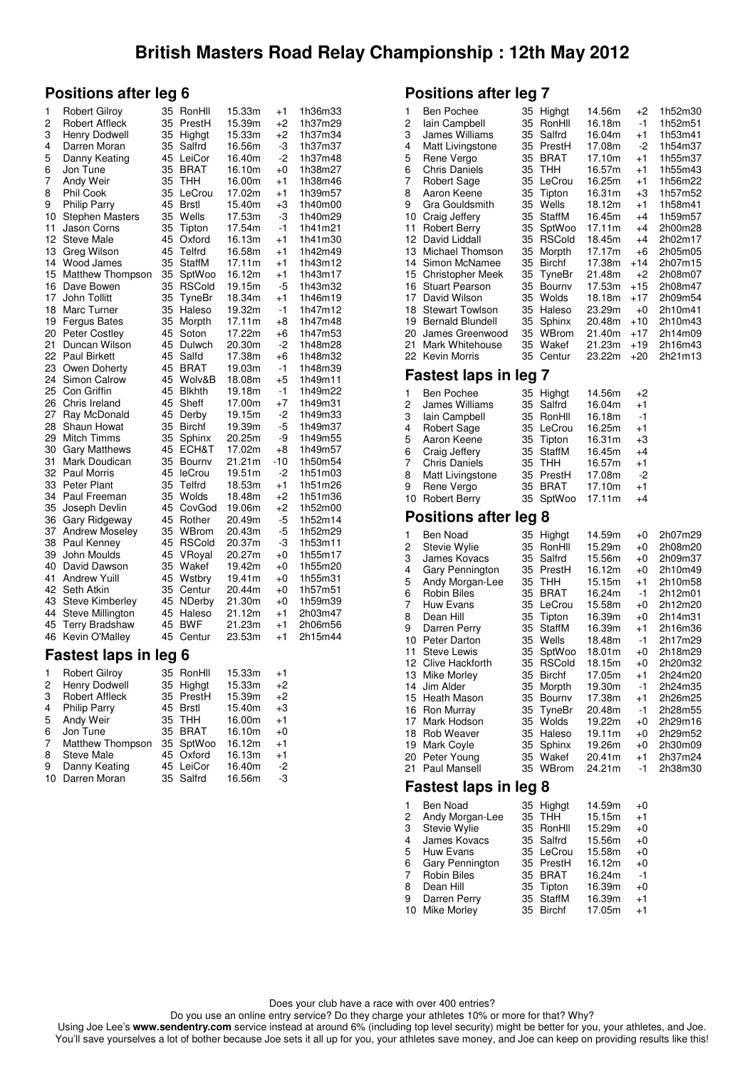### **Positions after leg 6**

| 1  | <b>Robert Gilroy</b>         | 35 | RonHll        | 15.33m | $+1$    | 1h36m33 |
|----|------------------------------|----|---------------|--------|---------|---------|
| 2  | <b>Robert Affleck</b>        | 35 | PrestH        | 15.39m | $+2$    | 1h37m29 |
| 3  | Henry Dodwell                | 35 | Highgt        | 15.33m | $+2$    | 1h37m34 |
| 4  | Darren Moran                 | 35 | Salfrd        | 16.56m | -3      | 1h37m37 |
| 5  | Danny Keating                | 45 | LeiCor        | 16.40m | -2      | 1h37m48 |
| 6  | Jon Tune                     | 35 | <b>BRAT</b>   | 16.10m | $+0$    | 1h38m27 |
| 7  | Andy Weir                    | 35 | тнн           | 16.00m | +1      | 1h38m46 |
| 8  | Phil Cook                    | 35 | LeCrou        | 17.02m | $+1$    | 1h39m57 |
| 9  | <b>Philip Parry</b>          | 45 | <b>Brstl</b>  | 15.40m | +3      | 1h40m00 |
| 10 | <b>Stephen Masters</b>       | 35 | Wells         | 17.53m | -3      | 1h40m29 |
| 11 | Jason Corns                  | 35 | Tipton        | 17.54m | -1      | 1h41m21 |
| 12 | <b>Steve Male</b>            | 45 | Oxford        | 16.13m | $+1$    | 1h41m30 |
| 13 | Greg Wilson                  | 45 | Telfrd        | 16.58m | $+1$    | 1h42m49 |
| 14 | Wood James                   | 35 | <b>StaffM</b> | 17.11m | +1      | 1h43m12 |
| 15 | <b>Matthew Thompson</b>      | 35 | SptWoo        | 16.12m | $+1$    | 1h43m17 |
| 16 | Dave Bowen                   | 35 | <b>RSCold</b> | 19.15m | -5      | 1h43m32 |
| 17 | John Tollitt                 | 35 | TyneBr        | 18.34m | $+1$    | 1h46m19 |
| 18 | Marc Turner                  | 35 | Haleso        | 19.32m | -1      | 1h47m12 |
| 19 | <b>Fergus Bates</b>          | 35 | Morpth        | 17.11m | +8      | 1h47m48 |
| 20 | Peter Costley                | 45 | Soton         | 17.22m | +6      | 1h47m53 |
| 21 | Duncan Wilson                | 45 | Dulwch        | 20.30m | -2      | 1h48m28 |
| 22 | Paul Birkett                 | 45 | Salfd         | 17.38m | +6      | 1h48m32 |
| 23 | Owen Doherty                 | 45 | BRAT          | 19.03m | -1      | 1h48m39 |
| 24 | <b>Simon Calrow</b>          | 45 | Wolv&B        | 18.08m | $+5$    | 1h49m11 |
| 25 | Con Griffin                  | 45 | <b>Blkhth</b> | 19.18m | -1      | 1h49m22 |
| 26 | Chris Ireland                | 45 | Sheff         | 17.00m | $+7$    | 1h49m31 |
| 27 | Ray McDonald                 | 45 | Derby         | 19.15m | -2      | 1h49m33 |
| 28 | Shaun Howat                  | 35 | <b>Birchf</b> | 19.39m | -5      | 1h49m37 |
| 29 | Mitch Timms                  | 35 | Sphinx        | 20.25m | -9      | 1h49m55 |
| 30 | <b>Gary Matthews</b>         | 45 | ECH&T         | 17.02m | $+8$    | 1h49m57 |
| 31 | Mark Doudican                | 35 | Bournv        | 21.21m | -10     | 1h50m54 |
| 32 | <b>Paul Morris</b>           | 45 | leCrou        | 19.51m | -2      | 1h51m03 |
| 33 | Peter Plant                  | 35 | Telfrd        | 18.53m | $+1$    | 1h51m26 |
| 34 | Paul Freeman                 | 35 | Wolds         | 18.48m | $+2$    | 1h51m36 |
| 35 | Joseph Devlin                | 45 | CovGod        | 19.06m | $+2$    | 1h52m00 |
| 36 | Gary Ridgeway                | 45 | Rother        | 20.49m | -5      | 1h52m14 |
| 37 | Andrew Moseley               | 35 | WBrom         | 20.43m | -5      | 1h52m29 |
| 38 | Paul Kenney                  | 45 | <b>RSCold</b> | 20.37m | -3      | 1h53m11 |
| 39 | John Moulds                  | 45 | VRoyal        | 20.27m | $+0$    | 1h55m17 |
| 40 | David Dawson                 | 35 | Wakef         | 19.42m | $+0$    | 1h55m20 |
| 41 | <b>Andrew Yuill</b>          | 45 | Wstbry        | 19.41m | $^{+0}$ | 1h55m31 |
| 42 | Seth Atkin                   | 35 | Centur        | 20.44m | $+0$    | 1h57m51 |
| 43 | <b>Steve Kimberley</b>       | 45 | NDerby        | 21.30m | $^{+0}$ | 1h59m39 |
| 44 | Steve Millington             | 45 | Haleso        | 21.12m | $+1$    | 2h03m47 |
| 45 | <b>Terry Bradshaw</b>        | 45 | <b>BWF</b>    | 21.23m | $+1$    | 2h06m56 |
| 46 | Kevin O'Malley               | 45 | Centur        | 23.53m | $+1$    | 2h15m44 |
|    | <b>Fastest laps in leg 6</b> |    |               |        |         |         |
| 1  | <b>Robert Gilroy</b>         | 35 | RonHll        | 15.33m | $+1$    |         |
| 2  | Henry Dodwell                | 35 | Highgt        | 15.33m | $+2$    |         |
| 3  | Robert Affleck               | 35 | PrestH        | 15.39m | +2      |         |
| 4  | Philip Parry                 | 45 | Brstl         | 15.40m | $+3$    |         |
|    |                              |    |               |        |         |         |

|   | 4 Philip Parry     | 45 Brstl  | 15.40m | $+3$ |
|---|--------------------|-----------|--------|------|
|   | 5 Andy Weir        | 35 THH    | 16.00m | $+1$ |
|   | 6 Jon Tune         | 35 BRAT   | 16.10m | $+0$ |
|   | 7 Matthew Thompson | 35 SptWoo | 16.12m | $+1$ |
|   | 8 Steve Male       | 45 Oxford | 16.13m | $+1$ |
| 9 | Danny Keating      | 45 LeiCor | 16.40m | -2   |
|   | 10 Darren Moran    | 35 Salfrd | 16.56m | -3   |
|   |                    |           |        |      |

### **Positions after leg 7**

| 1<br>Ben Pochee<br>2<br>lain Campbell<br>3<br>James Williams<br>4<br>Matt Livingstone<br>5<br>Rene Vergo<br>6<br><b>Chris Daniels</b><br>7<br><b>Robert Sage</b><br>8<br>Aaron Keene<br>9<br>Gra Gouldsmith<br>10<br>Craig Jeffery<br>11<br><b>Robert Berry</b><br>12<br>David Liddall<br>13<br>Michael Thomson<br>14<br>Simon McNamee<br>15<br><b>Christopher Meek</b><br>16<br>Stuart Pearson<br>17<br>David Wilson<br>18<br><b>Stewart Towlson</b><br>19<br><b>Bernald Blundell</b><br>20<br>James Greenwood<br>21<br>Mark Whitehouse<br>22<br>Kevin Morris | 35<br>Highgt<br>35<br>RonHll<br>35<br>Salfrd<br>35<br>PrestH<br>35<br>BRAT<br>35<br>THH<br>35<br>LeCrou<br>35<br>Tipton<br>35<br>Wells<br>35<br><b>StaffM</b><br>35<br>SptWoo<br>35<br><b>RSCold</b><br>35<br>Morpth<br>35<br><b>Birchf</b><br>35<br>TyneBr<br>35<br>Bournv<br>35<br>Wolds<br>35<br>Haleso<br>35<br>Sphinx<br>35<br>WBrom<br>35<br>Wakef<br>35<br>Centur      | 14.56m<br>16.18m<br>16.04m<br>17.08m<br>17.10m<br>16.57m<br>16.25m<br>16.31m<br>18.12m<br>16.45m<br>17.11m<br>18.45m<br>17.17m<br>17.38m<br>21.48m<br>17.53m<br>18.18m<br>23.29m<br>20.48m<br>21.40m<br>21.23m<br>23.22m | +2<br>-1<br>$+1$<br>$-2$<br>$+1$<br>$+1$<br>$+1$<br>$+3$<br>$+1$<br>$+4$<br>$+4$<br>$+4$<br>$+6$<br>+14<br>+2<br>$+15$<br>$+17$<br>$+0$<br>$+10$<br>+17<br>$+19$<br>$+20$ | 1h52m30<br>1h52m51<br>1h53m41<br>1h54m37<br>1h55m37<br>1h55m43<br>1h56m22<br>1h57m52<br>1h58m41<br>1h59m57<br>2h00m28<br>2h02m17<br>2h05m05<br>2h07m15<br>2h08m07<br>2h08m47<br>2h09m54<br>2h10m41<br>2h10m43<br>2h14m09<br>2h16m43<br>2h21m13 |
|----------------------------------------------------------------------------------------------------------------------------------------------------------------------------------------------------------------------------------------------------------------------------------------------------------------------------------------------------------------------------------------------------------------------------------------------------------------------------------------------------------------------------------------------------------------|-------------------------------------------------------------------------------------------------------------------------------------------------------------------------------------------------------------------------------------------------------------------------------------------------------------------------------------------------------------------------------|--------------------------------------------------------------------------------------------------------------------------------------------------------------------------------------------------------------------------|---------------------------------------------------------------------------------------------------------------------------------------------------------------------------|------------------------------------------------------------------------------------------------------------------------------------------------------------------------------------------------------------------------------------------------|
| <b>Fastest laps in leg 7</b>                                                                                                                                                                                                                                                                                                                                                                                                                                                                                                                                   |                                                                                                                                                                                                                                                                                                                                                                               |                                                                                                                                                                                                                          |                                                                                                                                                                           |                                                                                                                                                                                                                                                |
| 1<br><b>Ben Pochee</b><br>2<br>James Williams<br>3<br>lain Campbell<br>4<br>Robert Sage<br>5<br>Aaron Keene<br>6<br>Craig Jeffery<br>7<br>Chris Daniels<br>8<br>Matt Livingstone<br>9<br>Rene Vergo<br>10<br><b>Robert Berry</b>                                                                                                                                                                                                                                                                                                                               | 35<br>Highgt<br>35<br>Salfrd<br>35<br>RonHll<br>35<br>LeCrou<br>35<br>Tipton<br>35<br>StaffM<br>35<br><b>THH</b><br>35<br>PrestH<br><b>BRAT</b><br>35<br>35<br>SptWoo                                                                                                                                                                                                         | 14.56m<br>16.04m<br>16.18m<br>16.25m<br>16.31m<br>16.45m<br>16.57m<br>17.08m<br>17.10m<br>17.11m                                                                                                                         | +2<br>$+1$<br>-1<br>$+1$<br>+3<br>$+4$<br>+1<br>-2<br>$+1$<br>$+4$                                                                                                        |                                                                                                                                                                                                                                                |
| <b>Positions after leg 8</b>                                                                                                                                                                                                                                                                                                                                                                                                                                                                                                                                   |                                                                                                                                                                                                                                                                                                                                                                               |                                                                                                                                                                                                                          |                                                                                                                                                                           |                                                                                                                                                                                                                                                |
| 1<br>Ben Noad<br>2<br>Stevie Wylie<br>3<br>James Kovacs<br>4<br>Gary Pennington<br>5<br>Andy Morgan-Lee<br>6<br>Robin Biles<br>7<br><b>Huw Evans</b><br>8<br>Dean Hill<br>9<br>Darren Perry<br>10<br>Peter Darton<br>11<br>Steve Lewis<br>12<br>Clive Hackforth<br>13 Mike Morley<br>14<br>Jim Alder<br>15<br>Heath Mason<br>16<br>Ron Murray<br>17<br>Mark Hodson<br>18<br><b>Rob Weaver</b><br>19<br>Mark Coyle<br>Peter Young<br>20<br>21<br>Paul Mansell                                                                                                   | 35<br>Highgt<br>35<br>RonHll<br>35<br>Salfrd<br>35<br>PrestH<br>35<br><b>THH</b><br>35<br><b>BRAT</b><br>35<br>LeCrou<br>35<br>Tipton<br>35<br><b>StaffM</b><br>35<br>Wells<br>35<br>SptWoo<br>35<br><b>RSCold</b><br>35<br><b>Birchf</b><br>35<br>Morpth<br>35<br>Bournv<br>35<br>TyneBr<br>35<br>Wolds<br>35<br>Haleso<br>35<br>Sphinx<br>Wakef<br>35<br>35<br><b>WBrom</b> | 14.59m<br>15.29m<br>15.56m<br>16.12m<br>15.15m<br>16.24m<br>15.58m<br>16.39m<br>16.39m<br>18.48m<br>18.01m<br>18.15m<br>17.05m<br>19.30m<br>17.38m<br>20.48m<br>19.22m<br>19.11m<br>19.26m<br>20.41m<br>24.21m           | $+0$<br>$^{+0}$<br>$+0$<br>$+0$<br>$+1$<br>$-1$<br>$+0$<br>$+0$<br>$+1$<br>-1<br>+0<br>$+0$<br>$+1$<br>-1<br>$+1$<br>-1<br>$^{+0}$<br>$+0$<br>$+0$<br>$+1$<br>-1          | 2h07m29<br>2h08m20<br>2h09m37<br>2h10m49<br>2h10m58<br>2h12m01<br>2h12m20<br>2h14m31<br>2h16m36<br>2h17m29<br>2h18m29<br>2h20m32<br>2h24m20<br>2h24m35<br>2h26m25<br>2h28m55<br>2h29m16<br>2h29m52<br>2h30m09<br>2h37m24<br>2h38m30            |

### **Fastest laps in leg 8**

| 1 | <b>Ben Noad</b>    | 35 Highat | 14.59m | $+0$ |
|---|--------------------|-----------|--------|------|
| 2 | Andy Morgan-Lee    | 35 THH    | 15.15m | $+1$ |
| 3 | Stevie Wylie       | 35 RonHll | 15.29m | $+0$ |
| 4 | James Kovacs       | 35 Salfrd | 15.56m | $+0$ |
| 5 | Huw Evans          | 35 LeCrou | 15.58m | $+0$ |
| 6 | Gary Pennington    | 35 PrestH | 16.12m | $+0$ |
| 7 | <b>Robin Biles</b> | 35 BRAT   | 16.24m | $-1$ |
| 8 | Dean Hill          | 35 Tipton | 16.39m | $+0$ |
| 9 | Darren Perry       | 35 StaffM | 16.39m | $+1$ |
|   | 10 Mike Morley     | 35 Birchf | 17.05m | $+1$ |
|   |                    |           |        |      |

Does your club have a race with over 400 entries?

Do you use an online entry service? Do they charge your athletes 10% or more for that? Why?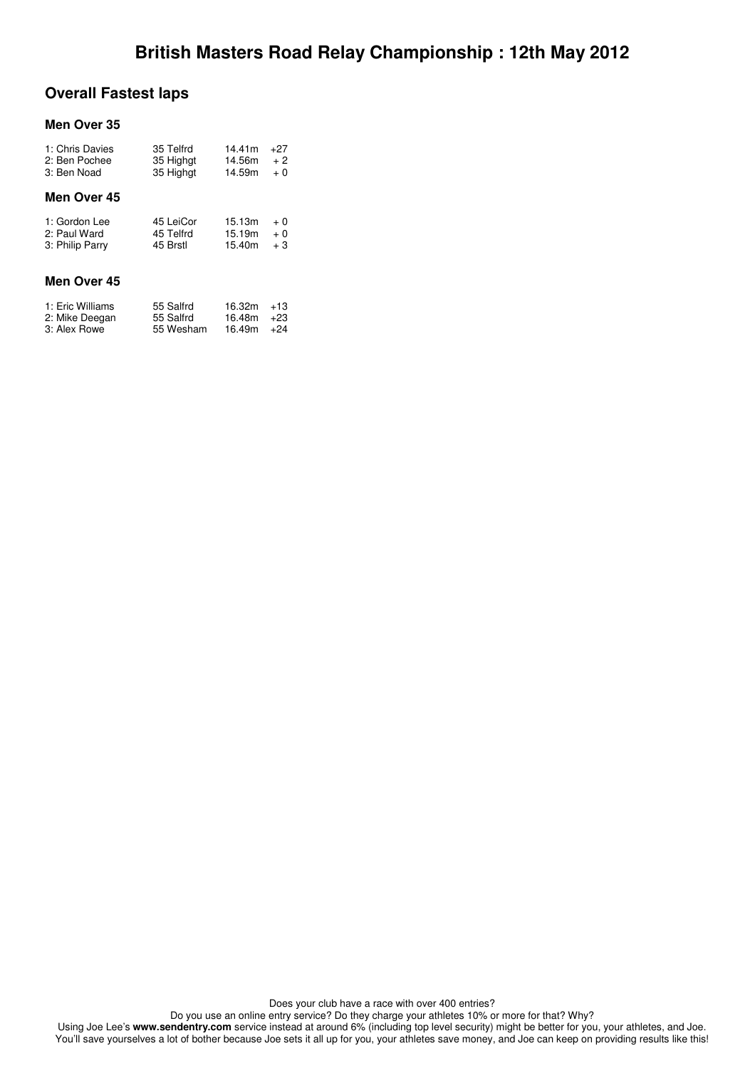## **Overall Fastest laps**

#### **Men Over 35**

| 35 Telfrd | 14.41m | $+27$ |
|-----------|--------|-------|
| 35 Highat | 14.56m | $+2$  |
| 35 Highat | 14.59m | $+0$  |
|           |        |       |
| 45 LeiCor | 15.13m | $+0$  |
| 45 Telfrd | 15.19m | $+0$  |
| 45 Brstl  | 15.40m | $+3$  |
|           |        |       |
| 55 Salfrd | 16.32m | $+13$ |
| 55 Salfrd | 16.48m | $+23$ |
| 55 Wesham | 16.49m | $+24$ |
|           |        |       |

Does your club have a race with over 400 entries?

Do you use an online entry service? Do they charge your athletes 10% or more for that? Why?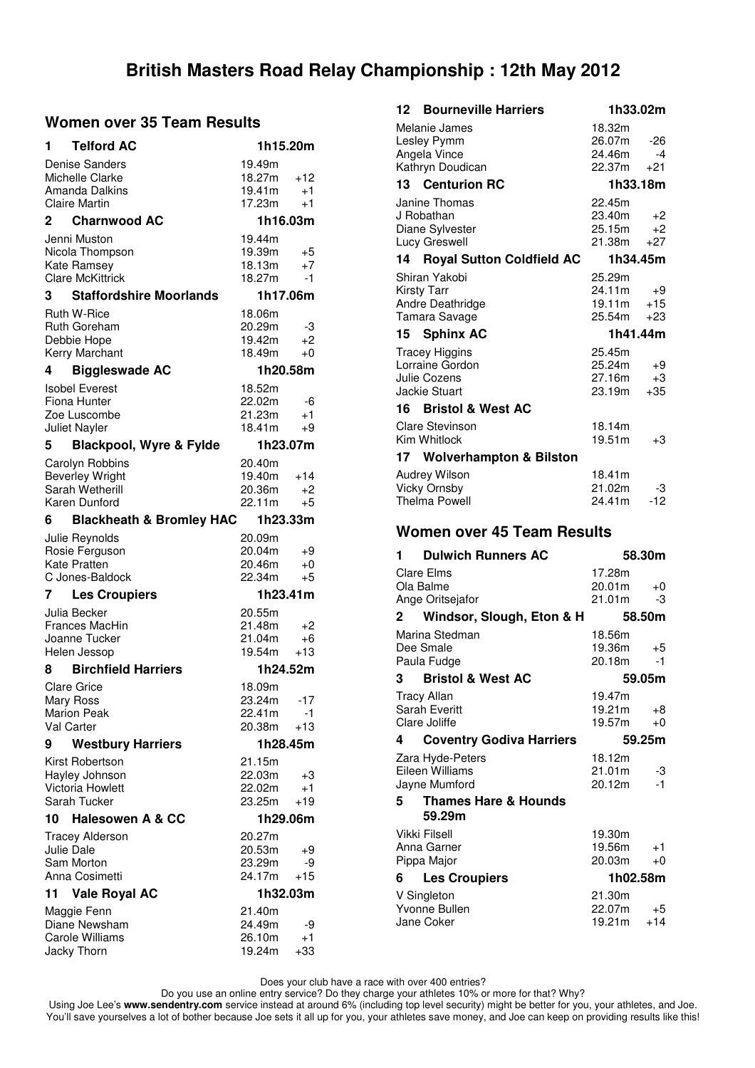### **Women over 35 Team Results**

| <b>Telford AC</b><br>1                    | 1h15.20m                          |  |
|-------------------------------------------|-----------------------------------|--|
| <b>Denise Sanders</b>                     | 19.49m                            |  |
| Michelle Clarke                           | 18.27m<br>$+12$                   |  |
| Amanda Dalkins                            | 19.41m<br>$+1$                    |  |
| <b>Claire Martin</b>                      | 17.23m<br>$+1$                    |  |
| <b>Charnwood AC</b><br>2                  | 1h16.03m                          |  |
| Jenni Muston                              | 19.44m                            |  |
| Nicola Thompson                           | 19.39m<br>+5                      |  |
| Kate Ramsey                               | 18.13m<br>$+7$                    |  |
| <b>Clare McKittrick</b>                   | 18.27m<br>-1                      |  |
| <b>Staffordshire Moorlands</b><br>3       | 1h17.06m                          |  |
| Ruth W-Rice                               | 18.06m                            |  |
| Ruth Goreham                              | 20.29m<br>-3                      |  |
| Debbie Hope                               | 19.42m<br>+2                      |  |
| Kerry Marchant                            | 18.49m<br>$+0$                    |  |
| <b>Biggleswade AC</b><br>4                | 1h20.58m                          |  |
| <b>Isobel Everest</b>                     | 18.52m                            |  |
| Fiona Hunter                              | 22.02m<br>-6                      |  |
| Zoe Luscombe                              | 21.23m<br>$+1$                    |  |
| Juliet Nayler                             | 18.41m<br>+9                      |  |
| <b>Blackpool, Wyre &amp; Fylde</b><br>5   | 1h23.07m                          |  |
| Carolyn Robbins                           | 20.40m                            |  |
| <b>Beverley Wright</b><br>Sarah Wetherill | 19.40m<br>$+14$                   |  |
| Karen Dunford                             | 20.36m<br>$+2$<br>22.11m          |  |
|                                           | $+5$                              |  |
| <b>Blackheath &amp; Bromley HAC</b><br>6  | 1h23.33m                          |  |
| Julie Reynolds                            | 20.09m                            |  |
| Rosie Ferguson                            | 20.04m<br>+9                      |  |
| <b>Kate Pratten</b>                       | 20.46m<br>$+0$                    |  |
| C Jones-Baldock                           | 22.34m<br>$+5$                    |  |
| 7<br><b>Les Croupiers</b><br>Julia Becker | 1h23.41m                          |  |
| Frances MacHin                            | 20.55m<br>21.48m<br>+2            |  |
| Joanne Tucker                             | 21.04m<br>$+6$                    |  |
| Helen Jessop                              | 19.54m<br>$+13$                   |  |
| <b>Birchfield Harriers</b><br>8           | 1h24.52m                          |  |
| <b>Clare Grice</b>                        | 18.09m                            |  |
|                                           | 23.24m<br>-17                     |  |
| Mary Ross<br><b>Marion Peak</b>           | 22.41m<br>$-1$                    |  |
| Val Carter                                | 20.38m<br>$+13$                   |  |
| 9<br><b>Westbury Harriers</b>             | 1h28.45m                          |  |
| Kirst Robertson                           | 21.15m                            |  |
| Hayley Johnson                            | 22.03m<br>+3                      |  |
| Victoria Howlett                          |                                   |  |
| Sarah Tucker                              |                                   |  |
|                                           | 22.02m<br>$+1$                    |  |
| 10                                        | 23.25m<br>$+19$                   |  |
| <b>Halesowen A &amp; CC</b>               | 1h29.06m                          |  |
| <b>Tracey Alderson</b>                    | 20.27m                            |  |
| Julie Dale                                | 20.53m<br>+9                      |  |
| Sam Morton                                | 23.29m<br>-9                      |  |
| Anna Cosimetti                            | 24.17m<br>$+15$                   |  |
| 11<br><b>Vale Royal AC</b>                | 1h32.03m                          |  |
| Maggie Fenn                               | 21.40m                            |  |
| Diane Newsham                             | 24.49m<br>-9                      |  |
| Carole Williams<br>Jacky Thorn            | 26.10m<br>$+1$<br>19.24m<br>$+33$ |  |

| <b>Bourneville Harriers</b><br>12        | 1h33.02m               |
|------------------------------------------|------------------------|
| Melanie James                            | 18.32m                 |
| Lesley Pymm                              | 26.07m<br>-26          |
| Angela Vince                             | 24.46m<br>-4           |
| Kathryn Doudican                         | 22.37m<br>$+21$        |
| <b>Centurion RC</b><br>13                | 1h33.18m               |
| Janine Thomas                            | 22.45m                 |
| J Robathan                               | 23.40m<br>+2           |
| Diane Sylvester                          | 25.15m<br>$+2$         |
| Lucy Greswell                            | 21.38m<br>$+27$        |
| 14<br><b>Royal Sutton Coldfield AC</b>   | 1h34.45m               |
| Shiran Yakobi                            | 25.29m                 |
| <b>Kirsty Tarr</b>                       | 24.11m<br>+9           |
| Andre Deathridge                         | 19.11m<br>$+15$        |
| Tamara Savage                            | 25.54m<br>$+23$        |
| <b>Sphinx AC</b><br>15                   | 1h41.44m               |
| <b>Tracey Higgins</b>                    | 25.45m                 |
| Lorraine Gordon                          | 25.24m<br>+9           |
| Julie Cozens                             | 27.16m<br>$+3$         |
| <b>Jackie Stuart</b>                     | 23.19m<br>$+35$        |
| <b>Bristol &amp; West AC</b><br>16       |                        |
| Clare Stevinson                          | 18.14m                 |
| Kim Whitlock                             | 19.51m<br>+3           |
| 17<br><b>Wolverhampton &amp; Bilston</b> |                        |
| Audrey Wilson                            | 18.41m                 |
| <b>Vicky Ornsby</b>                      | 21.02m<br>-3           |
| <b>Thelma Powell</b>                     | $-12$<br>24.41m        |
| Women over 45 Team Results               |                        |
| <b>Dulwich Runners AC</b><br>1           | 58.30m                 |
| Clare Elms                               | 17.28m                 |
| Ola Balme                                | 20.01m<br>$+0$         |
| Ange Oritsejafor                         | 21.01m<br>-3           |
| 2<br>Windsor, Slough, Eton & H           | 58.50m                 |
| Marina Stedman                           | 18.56m                 |
| Dee Smale                                | 19.36m<br>$+5$         |
| Paula Fudge                              | 20.18m<br>- 1          |
| <b>Bristol &amp; West AC</b><br>3        | 59.05m                 |
|                                          |                        |
| <b>Tracy Allan</b>                       | 19.47m                 |
| Sarah Everitt                            | 19.21m<br>+8           |
| Clare Joliffe                            | 19.57m<br>+0           |
| 4<br><b>Coventry Godiva Harriers</b>     | 59.25m                 |
| Zara Hyde-Peters                         | 18.12m                 |
| Eileen Williams                          | 21.01m<br>-3           |
| Jayne Mumford                            | 20.12m<br>-1           |
| 5<br><b>Thames Hare &amp; Hounds</b>     |                        |
| 59.29m                                   |                        |
| <b>Vikki Filsell</b>                     | 19.30m                 |
| Anna Garner                              | 19.56m<br>$+1$<br>+0   |
| Pippa Major                              | 20.03m                 |
| <b>Les Croupiers</b><br>6                | 1h02.58m               |
| V Singleton<br>Yvonne Bullen             | 21.30m<br>22.07m<br>+5 |

Jane Coker 19.21m +14

Does your club have a race with over 400 entries?

Do you use an online entry service? Do they charge your athletes 10% or more for that? Why?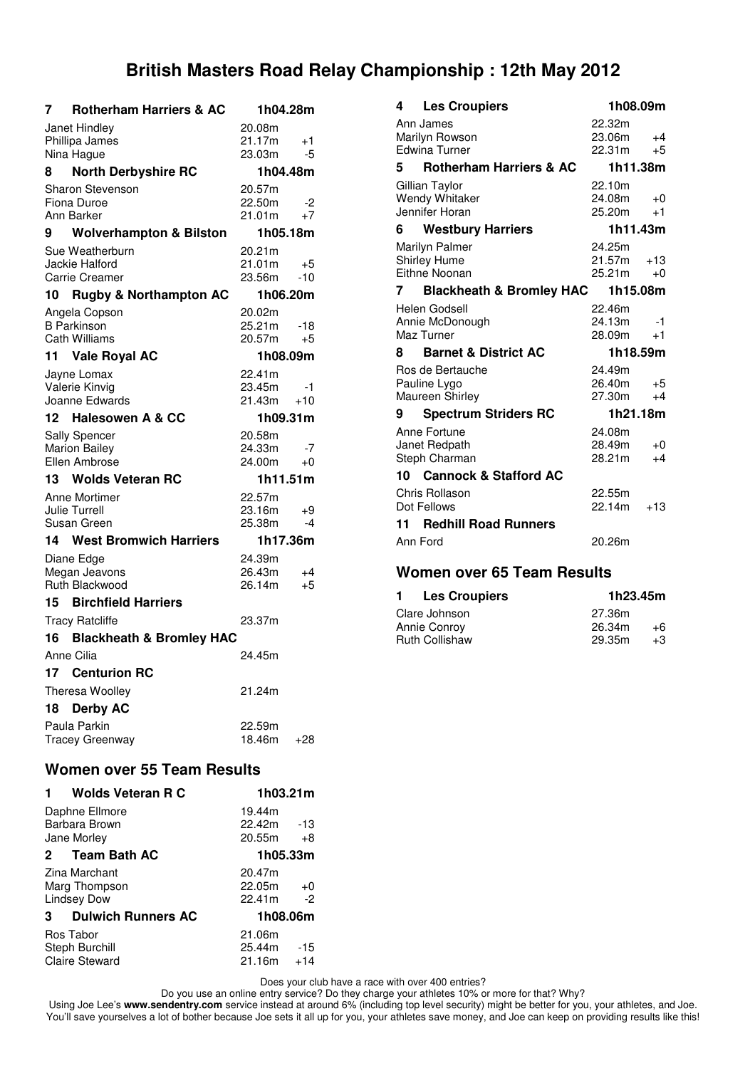| 7  | <b>Rotherham Harriers &amp; AC</b>         | 1h04.28m         |           |
|----|--------------------------------------------|------------------|-----------|
|    | Janet Hindley                              | 20.08m           |           |
|    | Phillipa James                             | 21.17m           | $+1$      |
|    | Nina Hague                                 | 23.03m           | -5        |
| 8  | <b>North Derbyshire RC</b>                 | 1h04.48m         |           |
|    | Sharon Stevenson<br>Fiona Duroe            | 20.57m<br>22.50m | -2        |
|    | Ann Barker                                 | 21.01m           | +7        |
| 9  | <b>Wolverhampton &amp; Bilston</b>         | 1h05.18m         |           |
|    | Sue Weatherburn                            | 20.21m           |           |
|    | Jackie Halford                             | 21.01m           | +5        |
|    | <b>Carrie Creamer</b>                      | 23.56m           | $-10$     |
| 10 | <b>Rugby &amp; Northampton AC</b>          | 1h06.20m         |           |
|    | Angela Copson                              | 20.02m           |           |
|    | <b>B</b> Parkinson<br><b>Cath Williams</b> | 25.21m<br>20.57m | -18<br>+5 |
| 11 | <b>Vale Royal AC</b>                       | 1h08.09m         |           |
|    | Jayne Lomax                                | 22.41m           |           |
|    | Valerie Kinvig                             | 23.45m           | -1        |
|    | Joanne Edwards                             | 21.43m           | $+10$     |
| 12 | <b>Halesowen A &amp; CC</b>                | 1h09.31m         |           |
|    | Sally Spencer                              | 20.58m           |           |
|    | <b>Marion Bailey</b>                       | 24.33m           | -7        |
|    | Ellen Ambrose                              | 24.00m           | +0        |
| 13 | <b>Wolds Veteran RC</b>                    | 1h11.51m         |           |
|    | Anne Mortimer<br><b>Julie Turrell</b>      | 22.57m<br>23.16m | +9        |
|    | Susan Green                                | 25.38m           | -4        |
| 14 | <b>West Bromwich Harriers</b>              | 1h17.36m         |           |
|    | Diane Edge                                 | 24.39m           |           |
|    | Megan Jeavons                              | 26.43m           | $+4$      |
|    | Ruth Blackwood                             | 26.14m           | +5        |
| 15 | <b>Birchfield Harriers</b>                 |                  |           |
|    | <b>Tracy Ratcliffe</b>                     | 23.37m           |           |
| 16 | <b>Blackheath &amp; Bromley HAC</b>        |                  |           |
|    | Anne Cilia                                 | 24.45m           |           |
| 17 | <b>Centurion RC</b>                        |                  |           |
|    | Theresa Woolley                            | 21.24m           |           |
| 18 | <b>Derby AC</b>                            |                  |           |
|    | Paula Parkin                               | 22.59m           |           |
|    | <b>Tracey Greenway</b>                     | 18.46m           | $+28$     |
|    |                                            |                  |           |

## **Women over 55 Team Results**

| <b>Wolds Veteran R C</b>                             | 1h03.21m                                    |
|------------------------------------------------------|---------------------------------------------|
| Daphne Ellmore<br>Barbara Brown<br>Jane Morley       | 19.44m<br>22.42m<br>$-13$<br>20.55m<br>$+8$ |
| 2 Team Bath AC                                       | 1h05.33m                                    |
| Zina Marchant<br>Marg Thompson<br><b>Lindsey Dow</b> | 20.47m<br>22.05m<br>$+0$<br>22.41m<br>$-2$  |
| <b>Dulwich Runners AC</b><br>$\mathbf{3}$            | 1h08.06m                                    |
| Ros Tabor<br>Steph Burchill<br><b>Claire Steward</b> | 21.06m<br>-15<br>25.44m<br>$21.16m + 14$    |

**4 Les Croupiers 1h08.09m** Ann James 22.32m Marilyn Rowson 23.06m +4 Edwina Turner **5 Rotherham Harriers & AC 1h11.38m** Gillian Taylor 22.10m Wendy Whitaker 24.08m +0 Jennifer Horan 25.20m +1 **6 Westbury Harriers 1h11.43m** Marilyn Palmer **24.25m**<br>
Shirley Hume 21.57m Shirley Hume 21.57m +13 Eithne Noonan 25.21m +0 **7 Blackheath & Bromley HAC 1h15.08m** Helen Godsell 22.46m Annie McDonough 24.13m -1 Maz Turner 28.09m +1 **8 Barnet & District AC 1h18.59m** Ros de Bertauche <sup>24.49m</sup><br>Pauline Lygo 26.40m Pauline Lygo 26.40m +5<br>
Maureen Shirley 27.30m +4 Maureen Shirley **9 Spectrum Striders RC 1h21.18m** Anne Fortune 24.08m<br>
Janet Redpath 28.49m Janet Redpath 28.49m +0 Steph Charman 28.21m +4 **10 Cannock & Stafford AC** Chris Rollason 22.55m Dot Fellows 22.14m +13 **11 Redhill Road Runners** Ann Ford 20.26m

### **Women over 65 Team Results**

| <b>Les Croupiers</b><br>1. | 1h23.45m |      |
|----------------------------|----------|------|
| Clare Johnson              | 27.36m   |      |
| Annie Conroy               | 26.34m   | +6   |
| <b>Ruth Collishaw</b>      | 29.35m   | $+3$ |

Does your club have a race with over 400 entries?

Do you use an online entry service? Do they charge your athletes 10% or more for that? Why?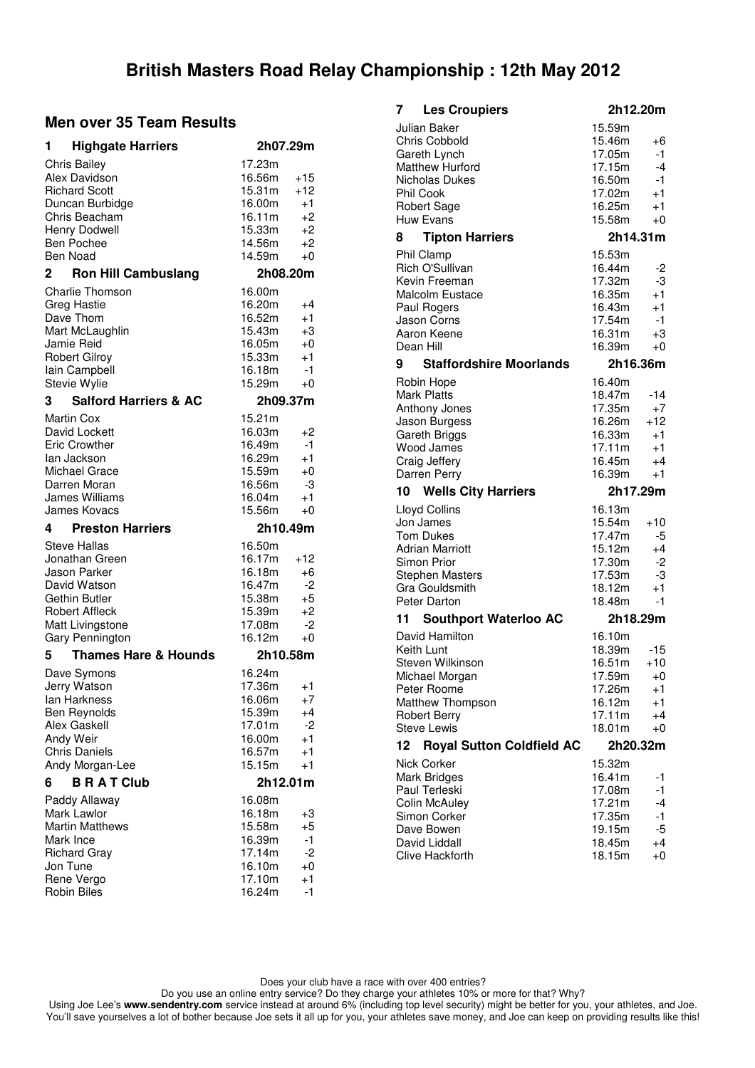### **Men over 35 Team Results**

| 1<br><b>Highgate Harriers</b>                                                                                                                                        | 2h07.29m                                                                                                                                       |
|----------------------------------------------------------------------------------------------------------------------------------------------------------------------|------------------------------------------------------------------------------------------------------------------------------------------------|
| <b>Chris Bailey</b><br>Alex Davidson<br><b>Richard Scott</b><br>Duncan Burbidge<br>Chris Beacham<br>Henry Dodwell<br><b>Ben Pochee</b><br>Ben Noad<br>$\overline{2}$ | 17.23m<br>16.56m<br>+15<br>15.31m<br>$+12$<br>$+1$<br>16.00m<br>16.11m<br>$+2$<br>15.33m<br>$+2$<br>14.56m<br>+2<br>14.59m<br>$+0$<br>2h08.20m |
| <b>Ron Hill Cambuslang</b><br><b>Charlie Thomson</b>                                                                                                                 | 16.00m                                                                                                                                         |
| <b>Greg Hastie</b><br>Dave Thom<br>Mart McLaughlin<br>Jamie Reid<br><b>Robert Gilroy</b><br>lain Campbell<br>Stevie Wylie                                            | 16.20m<br>+4<br>16.52m<br>$+1$<br>15.43m<br>+3<br>16.05m<br>$+0$<br>15.33m<br>$+1$<br>16.18m<br>$-1$<br>15.29m<br>$+0$                         |
| <b>Salford Harriers &amp; AC</b><br>3<br><b>Martin Cox</b>                                                                                                           | 2h09.37m<br>15.21m                                                                                                                             |
| David Lockett<br><b>Eric Crowther</b><br>lan Jackson<br>Michael Grace<br>Darren Moran<br>James Williams<br>James Kovacs                                              | 16.03m<br>+2<br>16.49m<br>$-1$<br>16.29m<br>$+1$<br>15.59m<br>$+0$<br>16.56m<br>-3<br>16.04m<br>$+1$<br>15.56m<br>+0                           |
|                                                                                                                                                                      |                                                                                                                                                |
| 4<br><b>Preston Harriers</b>                                                                                                                                         | 2h10.49m                                                                                                                                       |
| <b>Steve Hallas</b><br>Jonathan Green<br>Jason Parker<br>David Watson<br>Gethin Butler<br><b>Robert Affleck</b><br>Matt Livingstone<br><b>Gary Pennington</b>        | 16.50m<br>16.17m<br>+12<br>16.18m<br>$+6$<br>16.47m<br>-2<br>15.38m<br>+5<br>15.39m<br>$+2$<br>17.08m<br>$-2$<br>16.12m<br>$+0$                |
| <b>Thames Hare &amp; Hounds</b><br>5                                                                                                                                 | 2h10.58m                                                                                                                                       |
| Dave Symons<br>Jerry Watson<br>lan Harkness<br>Ben Reynolds<br>Alex Gaskell<br>Andy Weir<br><b>Chris Daniels</b><br>Andy Morgan-Lee                                  | 16.24m<br>17.36m<br>+1<br>16.06m<br>$+7$<br>15.39m<br>+4<br>17.01m<br>-2<br>16.00m<br>$+1$<br>16.57m<br>$+1$<br>15.15m<br>$+1$                 |
| <b>BRATClub</b><br>6<br>Paddy Allaway                                                                                                                                | 2h12.01m<br>16.08m                                                                                                                             |

| 7  | <b>Les Croupiers</b>                                                                                                                                                                     | 2h12.20m                                                                                 |                                                      |
|----|------------------------------------------------------------------------------------------------------------------------------------------------------------------------------------------|------------------------------------------------------------------------------------------|------------------------------------------------------|
| 8  | Julian Baker<br><b>Chris Cobbold</b><br>Gareth Lynch<br><b>Matthew Hurford</b><br>Nicholas Dukes<br><b>Phil Cook</b><br><b>Robert Sage</b><br><b>Huw Evans</b><br><b>Tipton Harriers</b> | 15.59m<br>15.46m<br>17.05m<br>17.15m<br>16.50m<br>17.02m<br>16.25m<br>15.58m<br>2h14.31m | +6<br>$-1$<br>$-4$<br>$-1$<br>$+1$<br>$+1$<br>$+0$   |
|    | Phil Clamp                                                                                                                                                                               | 15.53m                                                                                   |                                                      |
|    | Rich O'Sullivan<br>Kevin Freeman<br>Malcolm Eustace<br>Paul Rogers<br>Jason Corns<br>Aaron Keene<br>Dean Hill                                                                            | 16.44m<br>17.32m<br>16.35m<br>16.43m<br>17.54m<br>16.31m<br>16.39m                       | -2<br>-3<br>$+1$<br>$+1$<br>$-1$<br>$+3$<br>$+0$     |
| 9  | <b>Staffordshire Moorlands</b>                                                                                                                                                           | 2h16.36m                                                                                 |                                                      |
|    | Robin Hope<br><b>Mark Platts</b><br>Anthony Jones<br>Jason Burgess<br>Gareth Briggs<br>Wood James<br>Craig Jeffery<br>Darren Perry                                                       | 16.40m<br>18.47m<br>17.35m<br>16.26m<br>16.33m<br>17.11m<br>16.45m<br>16.39m             | -14<br>$+7$<br>$+12$<br>$+1$<br>$+1$<br>$+4$<br>$+1$ |
|    |                                                                                                                                                                                          |                                                                                          |                                                      |
| 10 | <b>Wells City Harriers</b>                                                                                                                                                               | 2h17.29m                                                                                 |                                                      |
|    | Lloyd Collins<br>Jon James<br><b>Tom Dukes</b><br><b>Adrian Marriott</b><br>Simon Prior<br><b>Stephen Masters</b><br><b>Gra Gouldsmith</b><br>Peter Darton                               | 16.13m<br>15.54m<br>17.47m<br>15.12m<br>17.30m<br>17.53m<br>18.12m<br>18.48m             | +10<br>-5<br>$+4$<br>-2<br>-3<br>$+1$<br>$-1$        |
| 11 | <b>Southport Waterloo AC</b>                                                                                                                                                             | 2h18.29m                                                                                 |                                                      |
|    | David Hamilton<br>Keith Lunt<br>Steven Wilkinson<br>Michael Morgan<br>Peter Roome<br>Matthew Thompson<br><b>Robert Berry</b><br><b>Steve Lewis</b>                                       | 16.10m<br>18.39m<br>16.51m<br>17.59m<br>17.26m<br>16.12m<br>17.11m<br>18.01m             | $-15$<br>$+10$<br>$+0$<br>+1<br>$^{+1}$<br>+4<br>+0  |
| 12 | <b>Royal Sutton Coldfield AC</b><br><b>Nick Corker</b>                                                                                                                                   | 2h20.32m<br>15.32m                                                                       |                                                      |

Does your club have a race with over 400 entries?

Do you use an online entry service? Do they charge your athletes 10% or more for that? Why?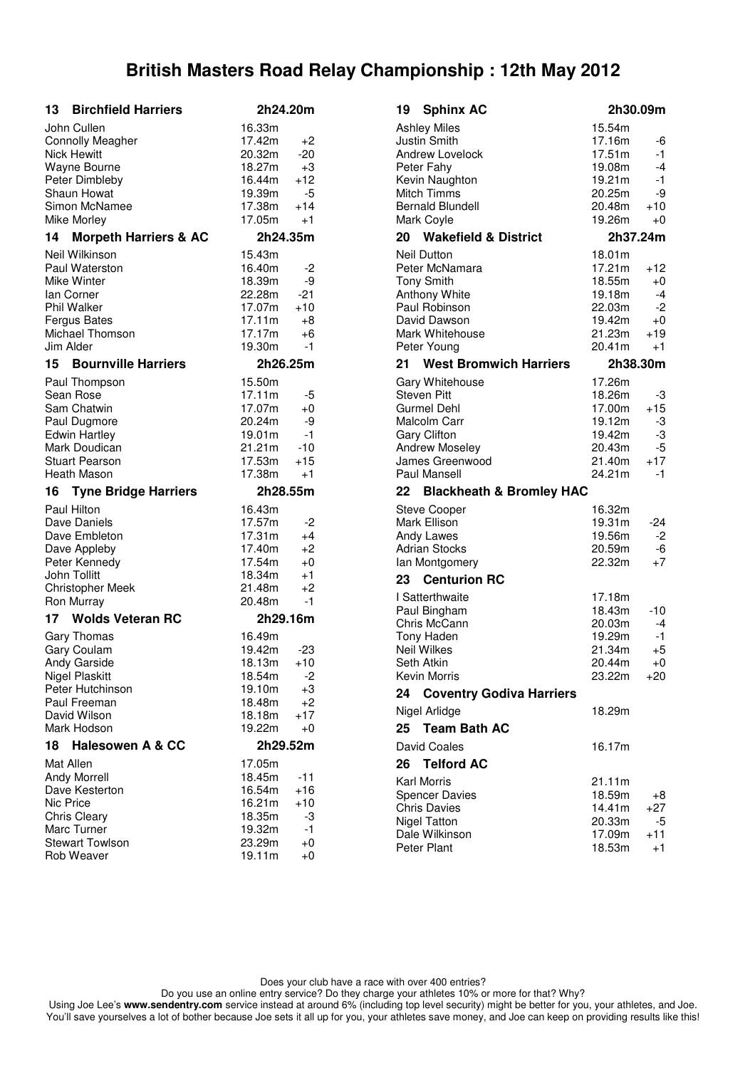| <b>Birchfield Harriers</b><br>13                                                                                                                                                        | 2h24.20m                                                                                 |                                                    |
|-----------------------------------------------------------------------------------------------------------------------------------------------------------------------------------------|------------------------------------------------------------------------------------------|----------------------------------------------------|
| John Cullen<br><b>Connolly Meagher</b><br><b>Nick Hewitt</b><br>Wayne Bourne<br>Peter Dimbleby<br>Shaun Howat<br>Simon McNamee<br>Mike Morley<br><b>Morpeth Harriers &amp; AC</b><br>14 | 16.33m<br>17.42m<br>20.32m<br>18.27m<br>16.44m<br>19.39m<br>17.38m<br>17.05m<br>2h24.35m | +2<br>-20<br>$+3$<br>$+12$<br>-5<br>$+14$<br>$+1$  |
| Neil Wilkinson                                                                                                                                                                          | 15.43m                                                                                   |                                                    |
| Paul Waterston<br>Mike Winter<br>lan Corner<br><b>Phil Walker</b><br><b>Fergus Bates</b><br>Michael Thomson<br>Jim Alder                                                                | 16.40m<br>18.39m<br>22.28m<br>17.07m<br>17.11m<br>17.17m<br>19.30m                       | -2<br>-9<br>-21<br>$+10$<br>+8<br>$+6$<br>-1       |
| <b>Bournville Harriers</b><br>15                                                                                                                                                        | 2h26.25m                                                                                 |                                                    |
| Paul Thompson<br>Sean Rose<br>Sam Chatwin<br>Paul Dugmore<br><b>Edwin Hartley</b><br>Mark Doudican<br><b>Stuart Pearson</b><br>Heath Mason                                              | 15.50m<br>17.11m<br>17.07m<br>20.24m<br>19.01m<br>21.21m<br>17.53m<br>17.38m             | -5<br>$+0$<br>-9<br>$-1$<br>$-10$<br>$+15$<br>$+1$ |
| <b>Tyne Bridge Harriers</b><br>16                                                                                                                                                       | 2h28.55m                                                                                 |                                                    |
| <b>Paul Hilton</b><br>Dave Daniels<br>Dave Embleton<br>Dave Appleby<br>Peter Kennedy<br>John Tollitt<br><b>Christopher Meek</b><br>Ron Murray                                           | 16.43m<br>17.57m<br>17.31m<br>17.40m<br>17.54m<br>18.34m<br>21.48m<br>20.48m             | -2<br>+4<br>$+2$<br>$+0$<br>$+1$<br>$+2$<br>$-1$   |
| 17 Wolds Veteran RC                                                                                                                                                                     | 2h29.16m                                                                                 |                                                    |
| Gary Thomas<br>Gary Coulam<br>Andy Garside<br><b>Nigel Plaskitt</b><br>Peter Hutchinson<br>Paul Freeman<br>David Wilson<br>Mark Hodson                                                  | 16.49m<br>19.42m<br>18.13m<br>18.54m<br>19.10m<br>18.48m<br>18.18m<br>19.22m             | -23<br>$+10$<br>$-2$<br>+3<br>+2<br>$+17$<br>+0    |
| 18<br><b>Halesowen A &amp; CC</b><br>Mat Allen                                                                                                                                          | 2h29.52m<br>17.05m                                                                       |                                                    |
|                                                                                                                                                                                         |                                                                                          |                                                    |

| 19 Sphinx AC                                                                                                                                                   | 2h30.09m                                                                                                                             |
|----------------------------------------------------------------------------------------------------------------------------------------------------------------|--------------------------------------------------------------------------------------------------------------------------------------|
| Ashley Miles<br>Justin Smith<br>Andrew Lovelock<br>Peter Fahy<br>Kevin Naughton<br>Mitch Timms<br><b>Bernald Blundell</b><br>Mark Coyle                        | 15.54m<br>17.16m<br>-6<br>17.51m<br>-1<br>19.08m<br>$-4$<br>19.21m<br>-1<br>20.25m<br>-9<br>20.48m<br>$+10$<br>19.26m<br>+0          |
| 20 Wakefield & District                                                                                                                                        | 2h37.24m                                                                                                                             |
| <b>Neil Dutton</b><br>Peter McNamara<br><b>Tony Smith</b><br><b>Anthony White</b><br>Paul Robinson<br>David Dawson<br>Mark Whitehouse<br>Peter Young           | 18.01m<br>17.21m<br>$+12$<br>18.55m<br>$+0$<br>19.18m<br>$-4$<br>22.03m<br>-2<br>19.42m<br>$+0$<br>21.23m<br>$+19$<br>20.41m<br>$+1$ |
| <b>West Bromwich Harriers</b><br>21                                                                                                                            | 2h38.30m                                                                                                                             |
| Gary Whitehouse<br><b>Steven Pitt</b><br>Gurmel Dehl<br>Malcolm Carr<br><b>Gary Clifton</b><br><b>Andrew Moseley</b><br>James Greenwood<br><b>Paul Mansell</b> | 17.26m<br>18.26m<br>-3<br>17.00m<br>$+15$<br>19.12m<br>-3<br>-3<br>19.42m<br>20.43m<br>-5<br>21.40m<br>$+17$<br>24.21m<br>$-1$       |
| 22 Blackheath & Bromley HAC                                                                                                                                    |                                                                                                                                      |
| Steve Cooper<br>Mark Ellison<br>Andy Lawes<br><b>Adrian Stocks</b><br>lan Montgomery                                                                           | 16.32m<br>19.31m<br>-24<br>19.56m<br>-2<br>20.59m<br>-6<br>22.32m<br>$+7$                                                            |
| 23 Centurion RC                                                                                                                                                |                                                                                                                                      |
| I Satterthwaite<br>Paul Bingham<br>Chris McCann<br><b>Tony Haden</b><br>Neil Wilkes<br>Seth Atkin<br>Kevin Morris                                              | 17.18m<br>18.43m<br>-10<br>20.03m<br>$-4$<br>19.29m<br>-1<br>21.34m<br>$+5$<br>20.44m<br>$+0$<br>23.22m<br>+20                       |
| 24<br><b>Coventry Godiva Harriers</b>                                                                                                                          |                                                                                                                                      |
| Nigel Arlidge                                                                                                                                                  | 18.29m                                                                                                                               |
| 25 Team Bath AC                                                                                                                                                |                                                                                                                                      |
| David Coales<br>26<br><b>Telford AC</b>                                                                                                                        | 16.17m                                                                                                                               |
| Karl Morris<br><b>Spencer Davies</b><br><b>Chris Davies</b><br><b>Nigel Tatton</b><br>Dale Wilkinson<br>Peter Plant                                            | 21.11m<br>18.59m<br>+8<br>14.41m<br>+27<br>20.33m<br>-5<br>17.09m<br>+11<br>18.53m<br>+1                                             |

Does your club have a race with over 400 entries?

Do you use an online entry service? Do they charge your athletes 10% or more for that? Why?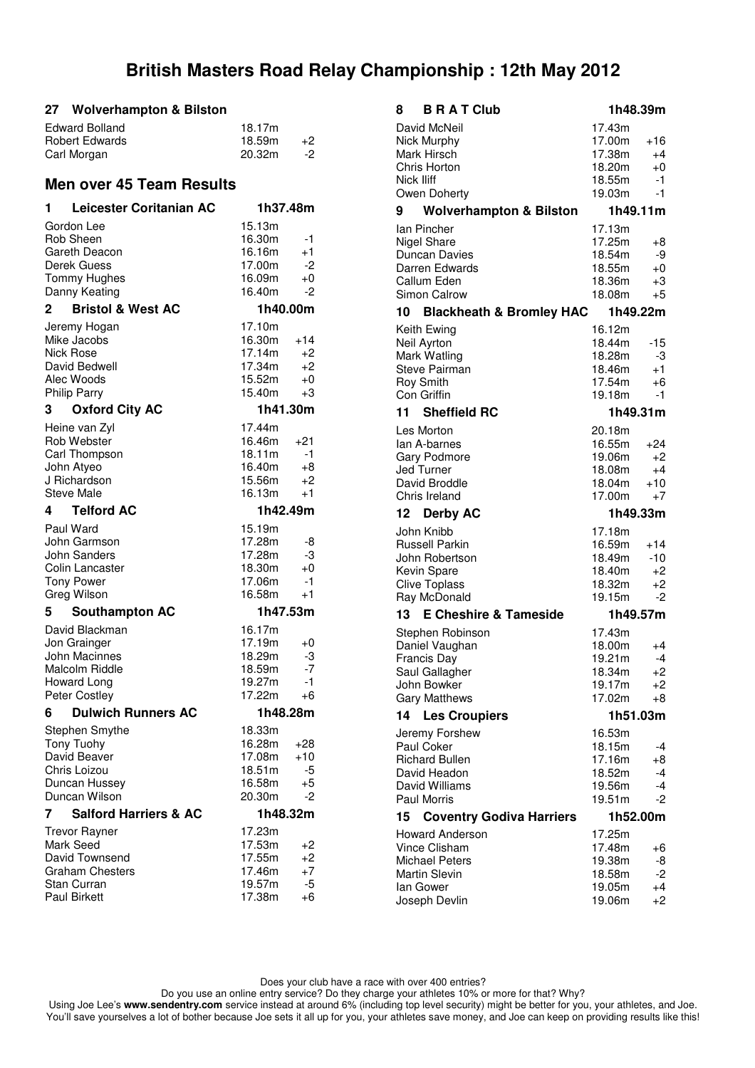#### **27 Wolverhampton & Bilston**

| Edward Bolland        | 18.17m |    |
|-----------------------|--------|----|
| <b>Robert Edwards</b> | 18.59m | +2 |
| Carl Morgan           | 20.32m | -2 |

### **Men over 45 Team Results**

| 1            | <b>Leicester Coritanian AC</b>            | 1h37.48m         |          |
|--------------|-------------------------------------------|------------------|----------|
|              | Gordon Lee                                | 15.13m           |          |
|              | Rob Sheen                                 | 16.30m           | -1       |
|              | Gareth Deacon                             | 16.16m           | +1       |
|              | Derek Guess                               | 17.00m           | -2       |
|              | <b>Tommy Hughes</b>                       | 16.09m           | +0       |
|              | Danny Keating                             | 16.40m           | -2       |
| $\mathbf{2}$ | <b>Bristol &amp; West AC</b>              | 1h40.00m         |          |
|              | Jeremy Hogan                              | 17.10m           |          |
|              | Mike Jacobs                               | 16.30m           | $+14$    |
| Nick Rose    |                                           | 17.14m           | +2       |
|              | David Bedwell<br>Alec Woods               | 17.34m<br>15.52m | +2<br>+0 |
|              | <b>Philip Parry</b>                       | 15.40m           | $+3$     |
| 3            | <b>Oxford City AC</b>                     | 1h41.30m         |          |
|              | Heine van Zyl                             | 17.44m           |          |
|              | Rob Webster                               | 16.46m           | $+21$    |
|              | Carl Thompson                             | 18.11m           | -1       |
|              | John Atyeo                                | 16.40m           | +8       |
|              | J Richardson                              | 15.56m           | +2       |
|              | <b>Steve Male</b>                         | 16.13m           | $+1$     |
| 4            | <b>Telford AC</b>                         | 1h42.49m         |          |
|              | Paul Ward                                 | 15.19m           |          |
|              | John Garmson                              | 17.28m           | -8       |
|              | John Sanders                              | 17.28m           | -3       |
|              | Colin Lancaster                           | 18.30m           | $+0$     |
|              | <b>Tony Power</b>                         | 17.06m           | -1       |
|              | Greg Wilson                               | 16.58m           | $+1$     |
| 5            | <b>Southampton AC</b>                     | 1h47.53m         |          |
|              | David Blackman                            | 16.17m           |          |
|              | Jon Grainger                              | 17.19m           | +0       |
|              | <b>John Macinnes</b>                      | 18.29m           | -3       |
|              | <b>Malcolm Riddle</b><br>Howard Long      | 18.59m<br>19.27m | -7<br>-1 |
|              | Peter Costley                             | 17.22m           | +6       |
| 6            | <b>Dulwich Runners AC</b>                 | 1h48.28m         |          |
|              | Stephen Smythe                            | 18.33m           |          |
|              | <b>Tony Tuohy</b>                         | 16.28m           | +28      |
|              | David Beaver                              | 17.08m           | $+10$    |
|              | Chris Loizou                              | 18.51m           | -5       |
|              | Duncan Hussey                             | 16.58m           | +5       |
|              | Duncan Wilson                             | 20.30m           | -2       |
| 7            | <b>Salford Harriers &amp; AC</b>          | 1h48.32m         |          |
|              | <b>Trevor Rayner</b>                      | 17.23m           |          |
|              | Mark Seed                                 | 17.53m           | +2       |
|              | David Townsend                            | 17.55m           | $+2$     |
|              | <b>Graham Chesters</b>                    | 17.46m           | +7       |
|              | <b>Stan Curran</b><br><b>Paul Birkett</b> | 19.57m<br>17.38m | -5<br>+6 |
|              |                                           |                  |          |

| <b>B R A T Club</b><br>8                      |                  | 1h48.39m      |
|-----------------------------------------------|------------------|---------------|
| David McNeil                                  | 17.43m           |               |
| Nick Murphy                                   | 17.00m           | $+16$         |
| Mark Hirsch                                   | 17.38m           | $+4$          |
| Chris Horton                                  | 18.20m           | $+0$          |
| Nick Iliff<br>Owen Doherty                    | 18.55m<br>19.03m | $-1$<br>-1    |
|                                               |                  |               |
| 9<br><b>Wolverhampton &amp; Bilston</b>       |                  | 1h49.11m      |
| lan Pincher<br><b>Nigel Share</b>             | 17.13m           |               |
| Duncan Davies                                 | 17.25m<br>18.54m | +8<br>-9      |
| Darren Edwards                                | 18.55m           | $+0$          |
| Callum Eden                                   | 18.36m           | +3            |
| Simon Calrow                                  | 18.08m           | +5            |
| 10 Blackheath & Bromley HAC                   |                  | 1h49.22m      |
| Keith Ewing                                   | 16.12m           |               |
| Neil Ayrton                                   | 18.44m           | -15           |
| Mark Watling                                  | 18.28m           | -3            |
| Steve Pairman                                 | 18.46m           | $+1$          |
| Roy Smith                                     | 17.54m           | +6            |
| Con Griffin                                   | 19.18m           | -1            |
| 11<br><b>Sheffield RC</b>                     |                  | 1h49.31m      |
| Les Morton                                    | 20.18m           |               |
| lan A-barnes                                  | 16.55m           | $+24$         |
| <b>Gary Podmore</b>                           | 19.06m           | $+2$          |
| Jed Turner<br>David Broddle                   | 18.08m<br>18.04m | $+4$<br>$+10$ |
| Chris Ireland                                 | 17.00m           | $+7$          |
|                                               |                  |               |
|                                               |                  |               |
| 12<br><b>Derby AC</b>                         |                  | 1h49.33m      |
| John Knibb                                    | 17.18m           |               |
| <b>Russell Parkin</b>                         | 16.59m           | $+14$         |
| John Robertson                                | 18.49m<br>18.40m | $-10$<br>+2   |
| Kevin Spare<br><b>Clive Toplass</b>           | 18.32m           | +2            |
| Ray McDonald                                  | 19.15m           | $-2$          |
| 13 E Cheshire & Tameside                      |                  | 1h49.57m      |
|                                               | 17.43m           |               |
| Stephen Robinson<br>Daniel Vaughan            | 18.00m           | +4            |
| <b>Francis Day</b>                            | 19.21m           | -4            |
| Saul Gallagher                                | 18.34m           | $+2$          |
| John Bowker                                   | 19.17m           | +2            |
| <b>Gary Matthews</b>                          | 17.02m           | +8            |
| 14<br><b>Les Croupiers</b>                    |                  | 1h51.03m      |
| Jeremy Forshew                                | 16.53m           |               |
| Paul Coker                                    | 18.15m           | -4            |
| <b>Richard Bullen</b>                         | 17.16m           | +8            |
| David Headon                                  | 18.52m           | -4            |
| David Williams                                | 19.56m           | -4            |
| Paul Morris                                   | 19.51m           | -2            |
| 15<br><b>Coventry Godiva Harriers</b>         |                  | 1h52.00m      |
| <b>Howard Anderson</b>                        | 17.25m           |               |
| <b>Vince Clisham</b>                          | 17.48m           | +6            |
| <b>Michael Peters</b><br><b>Martin Slevin</b> | 19.38m<br>18.58m | -8<br>$-2$    |
| lan Gower                                     | 19.05m           | $+4$          |

Does your club have a race with over 400 entries?

Do you use an online entry service? Do they charge your athletes 10% or more for that? Why?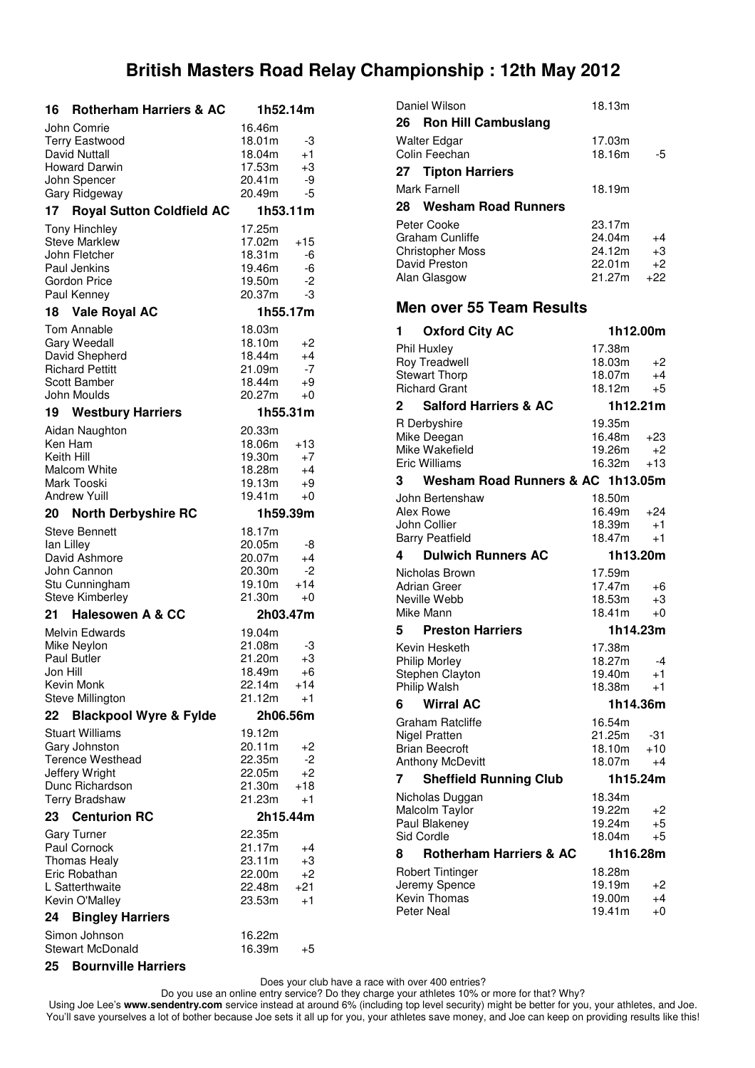| 16         | <b>Rotherham Harriers &amp; AC</b>           | 1h52.14m         |               |
|------------|----------------------------------------------|------------------|---------------|
|            | John Comrie                                  | 16.46m           |               |
|            | <b>Terry Eastwood</b>                        | 18.01m           | -3            |
|            | David Nuttall                                | 18.04m           | $+1$          |
|            | <b>Howard Darwin</b>                         | 17.53m<br>20.41m | $+3$          |
|            | John Spencer<br>Gary Ridgeway                | 20.49m           | -9<br>-5      |
| 17         | <b>Royal Sutton Coldfield AC</b>             | 1h53.11m         |               |
|            |                                              |                  |               |
|            | <b>Tony Hinchley</b><br><b>Steve Marklew</b> | 17.25m<br>17.02m | $+15$         |
|            | John Fletcher                                | 18.31m           | -6            |
|            | Paul Jenkins                                 | 19.46m           | -6            |
|            | Gordon Price                                 | 19.50m           | -2            |
|            | Paul Kenney                                  | 20.37m           | -3            |
| 18         | <b>Vale Royal AC</b>                         | 1h55.17m         |               |
|            | Tom Annable                                  | 18.03m           |               |
|            | Gary Weedall                                 | 18.10m           | +2            |
|            | David Shepherd                               | 18.44m           | $+4$          |
|            | <b>Richard Pettitt</b>                       | 21.09m           | -7            |
|            | Scott Bamber<br>John Moulds                  | 18.44m<br>20.27m | +9<br>$+0$    |
|            |                                              |                  |               |
|            | <b>19 Westbury Harriers</b>                  | 1h55.31m         |               |
|            | Aidan Naughton                               | 20.33m           |               |
| Ken Ham    |                                              | 18.06m           | +13           |
| Keith Hill | <b>Malcom White</b>                          | 19.30m<br>18.28m | $+7$<br>$+4$  |
|            | Mark Tooski                                  | 19.13m           | +9            |
|            | <b>Andrew Yuill</b>                          | 19.41m           | $+0$          |
| 20         | <b>North Derbyshire RC</b>                   | 1h59.39m         |               |
|            | <b>Steve Bennett</b>                         | 18.17m           |               |
| lan Lilley |                                              | 20.05m           | -8            |
|            | David Ashmore                                | 20.07m           | $+4$          |
|            | John Cannon                                  | 20.30m           | -2            |
|            | Stu Cunningham<br><b>Steve Kimberley</b>     | 19.10m<br>21.30m | $+14$         |
|            |                                              |                  | $+0$          |
| 21         | <b>Halesowen A &amp; CC</b>                  | 2h03.47m         |               |
|            | <b>Melvin Edwards</b>                        | 19.04m           |               |
|            | Mike Neylon<br><b>Paul Butler</b>            | 21.08m<br>21.20m | -3<br>$+3$    |
| Jon Hill   |                                              | 18.49m           | $+6$          |
|            | Kevin Monk                                   | 22.14m           | +14           |
|            | Steve Millington                             | 21.12m           | $+1$          |
| 22         | <b>Blackpool Wyre &amp; Fylde</b>            | 2h06.56m         |               |
|            | <b>Stuart Williams</b>                       | 19.12m           |               |
|            | Gary Johnston                                | 20.11m           | +2            |
|            | <b>Terence Westhead</b>                      | 22.35m           | -2            |
|            | Jeffery Wright                               | 22.05m           | $+2$          |
|            | Dunc Richardson<br><b>Terry Bradshaw</b>     | 21.30m<br>21.23m | $+18$<br>$+1$ |
| 23 -       | <b>Centurion RC</b>                          | 2h15.44m         |               |
|            |                                              | 22.35m           |               |
|            | <b>Gary Turner</b><br>Paul Cornock           | 21.17m           | +4            |
|            | <b>Thomas Healy</b>                          | 23.11m           | $+3$          |
|            | Eric Robathan                                | 22.00m           | $+2$          |
|            | L Satterthwaite                              | 22.48m           | $+21$         |
|            | Kevin O'Malley                               | 23.53m           | $+1$          |
| 24         | <b>Bingley Harriers</b>                      |                  |               |
|            | Simon Johnson                                | 16.22m           |               |
|            | <b>Stewart McDonald</b>                      | 16.39m           | +5            |
|            | 25 Bournville Harriers                       |                  |               |

| Daniel Wilson                           | 18.13m           |            |
|-----------------------------------------|------------------|------------|
|                                         |                  |            |
| 26<br><b>Ron Hill Cambuslang</b>        |                  |            |
| Walter Edgar                            | 17.03m           |            |
| Colin Feechan                           | 18.16m           | -5         |
| 27 Tipton Harriers                      |                  |            |
|                                         |                  |            |
| <b>Mark Farnell</b>                     | 18.19m           |            |
| <b>Wesham Road Runners</b><br>28        |                  |            |
| Peter Cooke                             | 23.17m           |            |
| <b>Graham Cunliffe</b>                  | 24.04m           | +4         |
| <b>Christopher Moss</b>                 | 24.12m           | +3         |
| David Preston                           | 22.01m           | $+2$       |
|                                         | 21.27m           | $+22$      |
| Alan Glasgow                            |                  |            |
| <b>Men over 55 Team Results</b>         |                  |            |
| <b>Oxford City AC</b><br>1              |                  | 1h12.00m   |
|                                         |                  |            |
| Phil Huxley                             | 17.38m           |            |
| <b>Roy Treadwell</b>                    | 18.03m           | +2         |
| <b>Stewart Thorp</b>                    | 18.07m           | $+4$       |
| <b>Richard Grant</b>                    | 18.12m           | +5         |
| <b>Salford Harriers &amp; AC</b><br>2   |                  | 1h12.21m   |
| R Derbyshire                            | 19.35m           |            |
| Mike Deegan                             | 16.48m           | +23        |
| Mike Wakefield                          | 19.26m           | $+2$       |
| <b>Eric Williams</b>                    | 16.32m           | $+13$      |
| Wesham Road Runners & AC 1h13.05m<br>3  |                  |            |
|                                         |                  |            |
| John Bertenshaw                         | 18.50m           |            |
|                                         |                  |            |
| Alex Rowe                               | 16.49m           | +24        |
| John Collier                            | 18.39m           | $+1$       |
| <b>Barry Peatfield</b>                  | 18.47m           | $+1$       |
| <b>Dulwich Runners AC</b><br>4          |                  | 1h13.20m   |
| Nicholas Brown                          | 17.59m           |            |
|                                         | 17.47m           |            |
| Adrian Greer<br>Neville Webb            | 18.53m           | +6<br>$+3$ |
| Mike Mann                               | 18.41m           | $+0$       |
|                                         |                  |            |
| <b>Preston Harriers</b><br>5            |                  | 1h14.23m   |
| Kevin Hesketh                           | 17.38m           |            |
| <b>Philip Morley</b>                    | 18.27m           | -4         |
| Stephen Clayton                         | 19.40m           | $+1$       |
| Philip Walsh                            | 18.38m           | $+1$       |
| <b>Wirral AC</b><br>6                   |                  | 1h14.36m   |
|                                         |                  |            |
| <b>Graham Ratcliffe</b>                 | 16.54m           |            |
| <b>Nigel Pratten</b>                    | 21.25m           | -31        |
| <b>Brian Beecroft</b>                   | 18.10m           | $+10$      |
| <b>Anthony McDevitt</b>                 | 18.07m           | +4         |
| <b>Sheffield Running Club</b><br>7      |                  | 1h15.24m   |
| Nicholas Duggan                         | 18.34m           |            |
| Malcolm Taylor                          | 19.22m           | +2         |
| Paul Blakeney                           | 19.24m           | $+5$       |
| Sid Cordle                              | 18.04m           | +5         |
| <b>Rotherham Harriers &amp; AC</b><br>8 |                  | 1h16.28m   |
|                                         |                  |            |
| Robert Tintinger                        | 18.28m           |            |
| Jeremy Spence                           | 19.19m           | +2         |
| Kevin Thomas<br><b>Peter Neal</b>       | 19.00m<br>19.41m | $+4$<br>+0 |

Does your club have a race with over 400 entries?

Do you use an online entry service? Do they charge your athletes 10% or more for that? Why?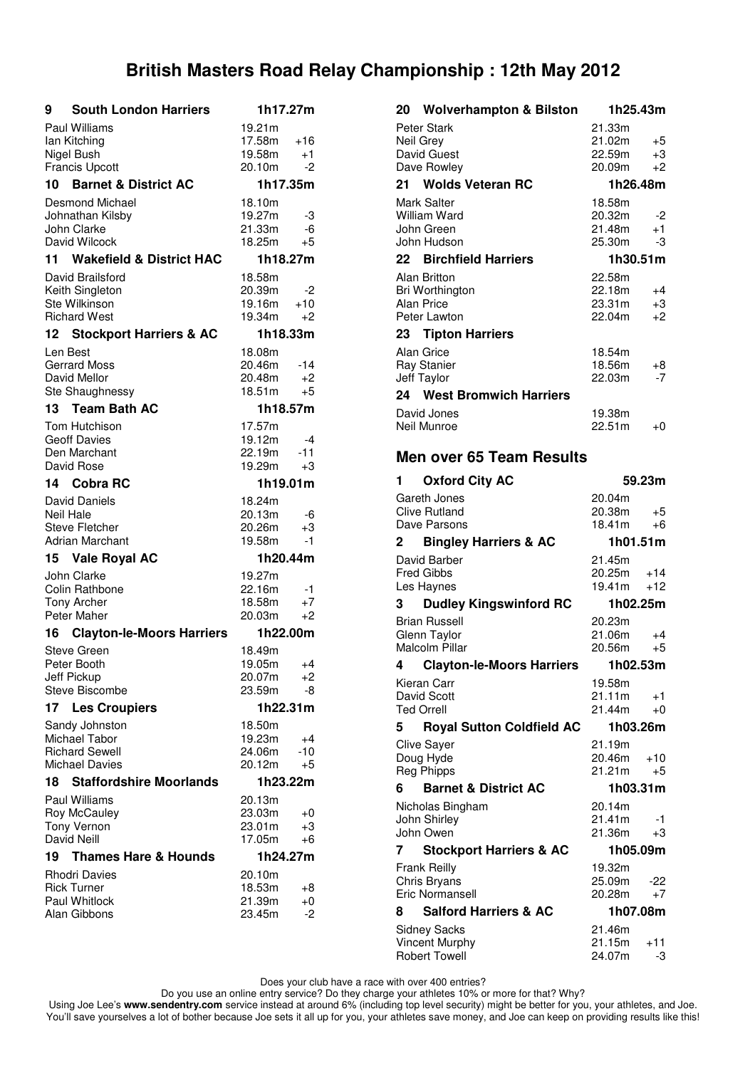| <b>South London Harriers</b><br>9          | 1h17.27m         |             |  |
|--------------------------------------------|------------------|-------------|--|
| <b>Paul Williams</b>                       | 19.21m           |             |  |
| lan Kitching                               | 17.58m           | +16         |  |
| Nigel Bush<br><b>Francis Upcott</b>        | 19.58m<br>20.10m | $+1$<br>-2  |  |
| 10 Barnet & District AC                    | 1h17.35m         |             |  |
| <b>Desmond Michael</b>                     | 18.10m           |             |  |
| Johnathan Kilsby                           | 19.27m           | -3          |  |
| John Clarke                                | 21.33m           | -6          |  |
| David Wilcock                              | 18.25m           | +5          |  |
| 11 Wakefield & District HAC                | 1h18.27m         |             |  |
| David Brailsford<br>Keith Singleton        | 18.58m<br>20.39m | -2          |  |
| Ste Wilkinson                              | 19.16m           | $+10$       |  |
| <b>Richard West</b>                        | 19.34m           | +2          |  |
| 12 Stockport Harriers & AC                 | 1h18.33m         |             |  |
| Len Best                                   | 18.08m           |             |  |
| <b>Gerrard Moss</b>                        | 20.46m           | -14         |  |
| David Mellor<br>Ste Shaughnessy            | 20.48m<br>18.51m | +2<br>+5    |  |
| 13 <sup>7</sup><br><b>Team Bath AC</b>     | 1h18.57m         |             |  |
| Tom Hutchison                              | 17.57m           |             |  |
| <b>Geoff Davies</b>                        | 19.12m           | -4          |  |
| Den Marchant                               | 22.19m           | $-11$       |  |
| David Rose                                 | 19.29m           | $+3$        |  |
| 14 Cobra RC                                | 1h19.01m         |             |  |
| David Daniels                              | 18.24m           |             |  |
| <b>Neil Hale</b><br><b>Steve Fletcher</b>  | 20.13m<br>20.26m | -6<br>+3    |  |
| <b>Adrian Marchant</b>                     | 19.58m           | $-1$        |  |
| <b>Vale Royal AC</b><br>15                 | 1h20.44m         |             |  |
| John Clarke                                | 19.27m           |             |  |
| Colin Rathbone                             | 22.16m           | -1          |  |
| <b>Tony Archer</b>                         | 18.58m           | $+7$        |  |
| Peter Maher                                | 20.03m           | $+2$        |  |
| <b>Clayton-le-Moors Harriers</b><br>16     | 1h22.00m         |             |  |
| <b>Steve Green</b><br>Peter Booth          | 18.49m<br>19.05m | $+4$        |  |
| Jeff Pickup                                | 20.07m           | +2          |  |
| Steve Biscombe                             | 23.59m           | -8          |  |
| 17<br><b>Les Croupiers</b>                 | 1h22.31m         |             |  |
| Sandy Johnston                             | 18.50m           |             |  |
| Michael Tabor<br><b>Richard Sewell</b>     | 19.23m<br>24.06m | $+4$<br>-10 |  |
| <b>Michael Davies</b>                      | 20.12m           | +5          |  |
| <b>Staffordshire Moorlands</b><br>18.      | 1h23.22m         |             |  |
| Paul Williams                              | 20.13m           |             |  |
| Roy McCauley                               | 23.03m           | $+0$        |  |
| <b>Tony Vernon</b>                         | 23.01m           | +3          |  |
| David Neill<br>19                          | 17.05m           | +6          |  |
| <b>Thames Hare &amp; Hounds</b>            |                  | 1h24.27m    |  |
| <b>Rhodri Davies</b><br><b>Rick Turner</b> | 20.10m<br>18.53m | +8          |  |
| Paul Whitlock                              | 21.39m           | +0          |  |
| Alan Gibbons                               | 23.45m           | -2          |  |
|                                            |                  |             |  |

| 20<br><b>Wolverhampton &amp; Bilston</b>         | 1h25.43m                           |
|--------------------------------------------------|------------------------------------|
| Peter Stark                                      | 21.33m                             |
| Neil Grey                                        | 21.02m<br>+5                       |
| David Guest                                      | 22.59m<br>$+3$                     |
| Dave Rowley                                      | 20.09m<br>$+2$                     |
| 21 Wolds Veteran RC                              | 1h26.48m                           |
| <b>Mark Salter</b>                               | 18.58m                             |
| William Ward                                     | 20.32m<br>-2                       |
| John Green<br>John Hudson                        | 21.48m<br>$+1$<br>25.30m<br>-3     |
| 22 Birchfield Harriers                           | 1h30.51m                           |
| Alan Britton                                     | 22.58m                             |
| Bri Worthington                                  | 22.18m<br>+4                       |
| <b>Alan Price</b>                                | 23.31m<br>$+3$                     |
| Peter Lawton                                     | 22.04m<br>$+2$                     |
| 23<br><b>Tipton Harriers</b>                     |                                    |
| Alan Grice                                       | 18.54m                             |
| <b>Ray Stanier</b>                               | 18.56m<br>+8                       |
| <b>Jeff Taylor</b>                               | 22.03m<br>$-7$                     |
| 24 West Bromwich Harriers                        |                                    |
| David Jones                                      | 19.38m                             |
| Neil Munroe                                      | 22.51m<br>$+0$                     |
|                                                  |                                    |
| <b>Men over 65 Team Results</b>                  |                                    |
| <b>Oxford City AC</b><br>1                       | 59.23m                             |
| Gareth Jones                                     | 20.04m                             |
| <b>Clive Rutland</b>                             | 20.38m<br>+5                       |
| Dave Parsons                                     | 18.41m<br>$+6$                     |
| <b>Bingley Harriers &amp; AC</b><br>2            | 1h01.51m                           |
| David Barber                                     | 21.45m                             |
| <b>Fred Gibbs</b>                                | 20.25m<br>$+14$<br>19.41m<br>$+12$ |
| Les Haynes<br><b>Dudley Kingswinford RC</b><br>3 | 1h02.25m                           |
|                                                  |                                    |
| <b>Brian Russell</b><br>Glenn Taylor             | 20.23m<br>21.06m<br>$+4$           |
| Malcolm Pillar                                   | 20.56m<br>$+5$                     |
| 4 Clayton-le-Moors Harriers                      | 1h02.53m                           |
| Kieran Carr                                      | 19.58m                             |
| David Scott                                      | 21.11m<br>+1                       |
| <b>Ted Orrell</b>                                | 21.44m<br>$+0$                     |
| 5<br><b>Royal Sutton Coldfield AC</b>            | 1h03.26m                           |
| <b>Clive Saver</b>                               | 21.19m                             |
| Doug Hyde                                        | 20.46m<br>+10<br>21.21m<br>$+5$    |
| <b>Reg Phipps</b>                                |                                    |
| <b>Barnet &amp; District AC</b><br>6             | 1h03.31m                           |
| Nicholas Bingham                                 | 20.14m                             |
| John Shirley<br>John Owen                        | 21.41m<br>-1<br>21.36m<br>+3       |
| 7<br><b>Stockport Harriers &amp; AC</b>          | 1h05.09m                           |
|                                                  | 19.32m                             |
| Frank Reilly<br>Chris Bryans                     | 25.09m<br>-22                      |
| Eric Normansell                                  | 20.28m<br>+7                       |
| <b>Salford Harriers &amp; AC</b><br>8            | 1h07.08m                           |
| Sidney Sacks                                     | 21.46m                             |

Vincent Murphy  $21.15m +11$ Robert Towell 24.07m -3

Does your club have a race with over 400 entries?

Do you use an online entry service? Do they charge your athletes 10% or more for that? Why?